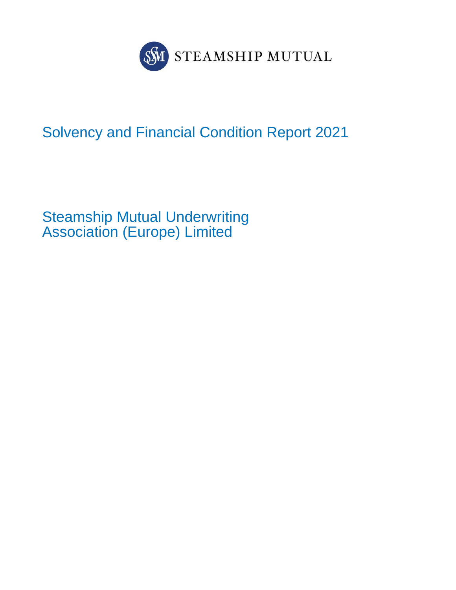

# Solvency and Financial Condition Report 2021

Steamship Mutual Underwriting Association (Europe) Limited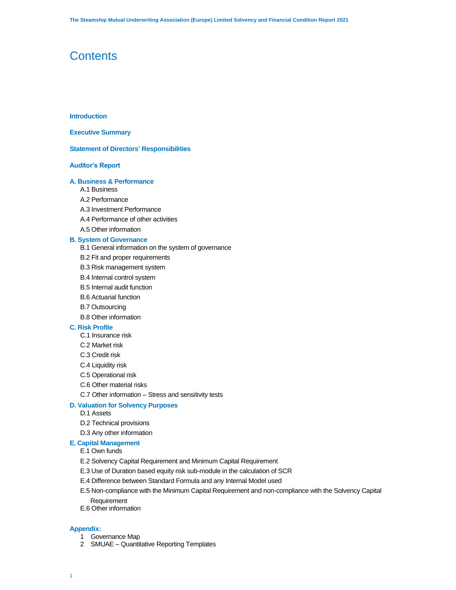### **Contents**

### **Introduction**

### **Executive Summary**

### **Statement of Directors' Responsibilities**

### **Auditor's Report**

### **A. Business & Performance**

- A.1 Business
- A.2 Performance
- A.3 Investment Performance
- A.4 Performance of other activities
- A.5 Other information

### **B. System of Governance**

- B.1 General information on the system of governance
- B.2 Fit and proper requirements
- B.3 Risk management system
- B.4 Internal control system
- B.5 Internal audit function
- B.6 Actuarial function
- B.7 Outsourcing
- B.8 Other information

### **C. Risk Profile**

- C.1 Insurance risk
- C.2 Market risk
- C.3 Credit risk
- C.4 Liquidity risk
- C.5 Operational risk
- C.6 Other material risks
- C.7 Other information Stress and sensitivity tests

### **D. Valuation for Solvency Purposes**

- D.1 Assets
- D.2 Technical provisions
- D.3 Any other information

### **E. Capital Management**

- E.1 Own funds
- E.2 Solvency Capital Requirement and Minimum Capital Requirement
- E.3 Use of Duration based equity risk sub-module in the calculation of SCR
- E.4 Difference between Standard Formula and any Internal Model used
- E.5 Non-compliance with the Minimum Capital Requirement and non-compliance with the Solvency Capital Requirement
- E.6 Other information

### **Appendix:**

- 1 Governance Map
- 2 SMUAE Quantitative Reporting Templates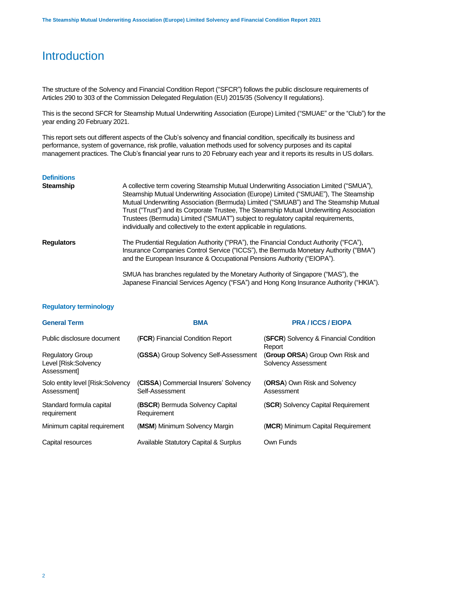## **Introduction**

The structure of the Solvency and Financial Condition Report ("SFCR") follows the public disclosure requirements of Articles 290 to 303 of the Commission Delegated Regulation (EU) 2015/35 (Solvency II regulations).

This is the second SFCR for Steamship Mutual Underwriting Association (Europe) Limited ("SMUAE" or the "Club") for the year ending 20 February 2021.

This report sets out different aspects of the Club's solvency and financial condition, specifically its business and performance, system of governance, risk profile, valuation methods used for solvency purposes and its capital management practices. The Club's financial year runs to 20 February each year and it reports its results in US dollars.

### **Definitions**

| <b>Steamship</b>  | A collective term covering Steamship Mutual Underwriting Association Limited ("SMUA"),<br>Steamship Mutual Underwriting Association (Europe) Limited ("SMUAE"), The Steamship<br>Mutual Underwriting Association (Bermuda) Limited ("SMUAB") and The Steamship Mutual<br>Trust ("Trust") and its Corporate Trustee, The Steamship Mutual Underwriting Association<br>Trustees (Bermuda) Limited ("SMUAT") subject to regulatory capital requirements,<br>individually and collectively to the extent applicable in regulations. |
|-------------------|---------------------------------------------------------------------------------------------------------------------------------------------------------------------------------------------------------------------------------------------------------------------------------------------------------------------------------------------------------------------------------------------------------------------------------------------------------------------------------------------------------------------------------|
| <b>Regulators</b> | The Prudential Regulation Authority ("PRA"), the Financial Conduct Authority ("FCA"),<br>Insurance Companies Control Service ("ICCS"), the Bermuda Monetary Authority ("BMA")<br>and the European Insurance & Occupational Pensions Authority ("EIOPA").                                                                                                                                                                                                                                                                        |
|                   | SMUA has branches regulated by the Monetary Authority of Singapore ("MAS"), the<br>Japanese Financial Services Agency ("FSA") and Hong Kong Insurance Authority ("HKIA").                                                                                                                                                                                                                                                                                                                                                       |

### **Regulatory terminology**

| <b>General Term</b>                                           | <b>BMA</b>                                               | <b>PRA/ICCS/EIOPA</b>                                         |
|---------------------------------------------------------------|----------------------------------------------------------|---------------------------------------------------------------|
| Public disclosure document                                    | (FCR) Financial Condition Report                         | (SFCR) Solvency & Financial Condition<br>Report               |
| <b>Regulatory Group</b><br>Level [Risk:Solvency<br>Assessment | (GSSA) Group Solvency Self-Assessment                    | (Group ORSA) Group Own Risk and<br><b>Solvency Assessment</b> |
| Solo entity level [Risk:Solvency<br>Assessment                | (CISSA) Commercial Insurers' Solvency<br>Self-Assessment | <b>(ORSA)</b> Own Risk and Solvency<br>Assessment             |
| Standard formula capital<br>requirement                       | (BSCR) Bermuda Solvency Capital<br>Requirement           | (SCR) Solvency Capital Requirement                            |
| Minimum capital requirement                                   | (MSM) Minimum Solvency Margin                            | (MCR) Minimum Capital Requirement                             |
| Capital resources                                             | Available Statutory Capital & Surplus                    | Own Funds                                                     |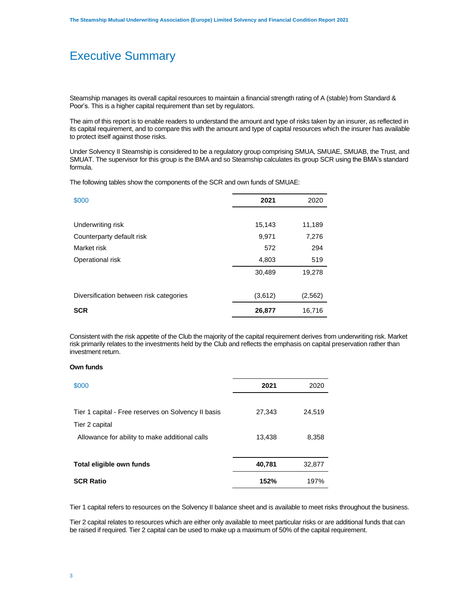## Executive Summary

Steamship manages its overall capital resources to maintain a financial strength rating of A (stable) from Standard & Poor's. This is a higher capital requirement than set by regulators.

The aim of this report is to enable readers to understand the amount and type of risks taken by an insurer, as reflected in its capital requirement, and to compare this with the amount and type of capital resources which the insurer has available to protect itself against those risks.

Under Solvency II Steamship is considered to be a regulatory group comprising SMUA, SMUAE, SMUAB, the Trust, and SMUAT. The supervisor for this group is the BMA and so Steamship calculates its group SCR using the BMA's standard formula.

The following tables show the components of the SCR and own funds of SMUAE:

| \$000                                   | 2021    | 2020     |
|-----------------------------------------|---------|----------|
|                                         |         |          |
| Underwriting risk                       | 15,143  | 11,189   |
| Counterparty default risk               | 9,971   | 7,276    |
| Market risk                             | 572     | 294      |
| Operational risk                        | 4,803   | 519      |
|                                         | 30,489  | 19,278   |
| Diversification between risk categories | (3,612) | (2, 562) |
| <b>SCR</b>                              | 26,877  | 16,716   |

Consistent with the risk appetite of the Club the majority of the capital requirement derives from underwriting risk. Market risk primarily relates to the investments held by the Club and reflects the emphasis on capital preservation rather than investment return.

### **Own funds**

| \$000                                               | 2021   | 2020   |
|-----------------------------------------------------|--------|--------|
|                                                     |        |        |
| Tier 1 capital - Free reserves on Solvency II basis | 27,343 | 24,519 |
| Tier 2 capital                                      |        |        |
| Allowance for ability to make additional calls      | 13,438 | 8,358  |
|                                                     |        |        |
| Total eligible own funds                            | 40,781 | 32,877 |
| <b>SCR Ratio</b>                                    | 152%   | 197%   |

Tier 1 capital refers to resources on the Solvency II balance sheet and is available to meet risks throughout the business.

Tier 2 capital relates to resources which are either only available to meet particular risks or are additional funds that can be raised if required. Tier 2 capital can be used to make up a maximum of 50% of the capital requirement.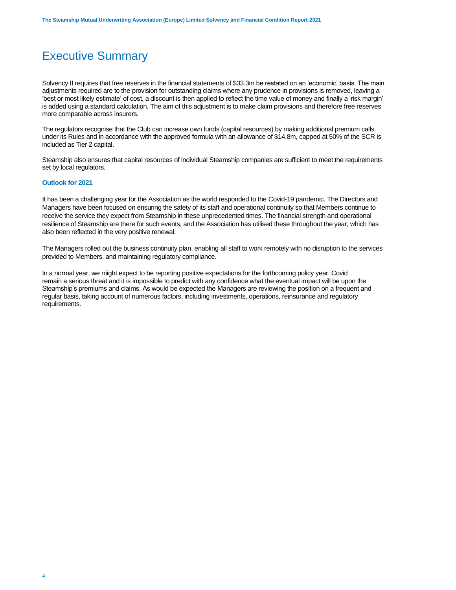# Executive Summary

Solvency II requires that free reserves in the financial statements of \$33.3m be restated on an 'economic' basis. The main adjustments required are to the provision for outstanding claims where any prudence in provisions is removed, leaving a 'best or most likely estimate' of cost, a discount is then applied to reflect the time value of money and finally a 'risk margin' is added using a standard calculation. The aim of this adjustment is to make claim provisions and therefore free reserves more comparable across insurers.

The regulators recognise that the Club can increase own funds (capital resources) by making additional premium calls under its Rules and in accordance with the approved formula with an allowance of \$14.8m, capped at 50% of the SCR is included as Tier 2 capital.

Steamship also ensures that capital resources of individual Steamship companies are sufficient to meet the requirements set by local regulators.

### **Outlook for 2021**

It has been a challenging year for the Association as the world responded to the Covid-19 pandemic. The Directors and Managers have been focused on ensuring the safety of its staff and operational continuity so that Members continue to receive the service they expect from Steamship in these unprecedented times. The financial strength and operational resilience of Steamship are there for such events, and the Association has utilised these throughout the year, which has also been reflected in the very positive renewal.

The Managers rolled out the business continuity plan, enabling all staff to work remotely with no disruption to the services provided to Members, and maintaining regulatory compliance.

In a normal year, we might expect to be reporting positive expectations for the forthcoming policy year. Covid remain a serious threat and it is impossible to predict with any confidence what the eventual impact will be upon the Steamship's premiums and claims. As would be expected the Managers are reviewing the position on a frequent and regular basis, taking account of numerous factors, including investments, operations, reinsurance and regulatory requirements.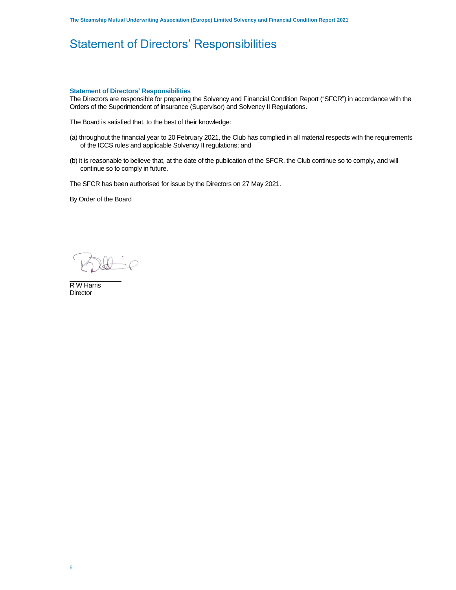# Statement of Directors' Responsibilities

### **Statement of Directors' Responsibilities**

The Directors are responsible for preparing the Solvency and Financial Condition Report ("SFCR") in accordance with the Orders of the Superintendent of insurance (Supervisor) and Solvency II Regulations.

The Board is satisfied that, to the best of their knowledge:

- (a) throughout the financial year to 20 February 2021, the Club has complied in all material respects with the requirements of the ICCS rules and applicable Solvency II regulations; and
- (b) it is reasonable to believe that, at the date of the publication of the SFCR, the Club continue so to comply, and will continue so to comply in future.

The SFCR has been authorised for issue by the Directors on 27 May 2021.

By Order of the Board

 $=\rho$ 

R W Harris **Director**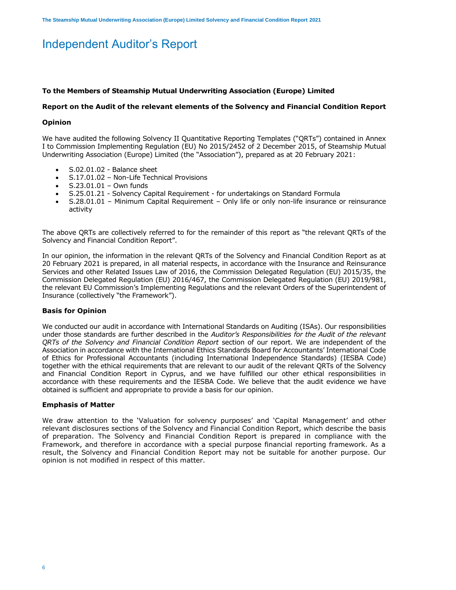# Independent Auditor's Report

### **To the Members of Steamship Mutual Underwriting Association (Europe) Limited**

### **Report on the Audit of the relevant elements of the Solvency and Financial Condition Report**

### **Opinion**

We have audited the following Solvency II Quantitative Reporting Templates ("QRTs") contained in Annex I to Commission Implementing Regulation (EU) No 2015/2452 of 2 December 2015, of Steamship Mutual Underwriting Association (Europe) Limited (the "Association"), prepared as at 20 February 2021:

- S.02.01.02 Balance sheet
- S.17.01.02 Non-Life Technical Provisions
- S.23.01.01 Own funds
- S.25.01.21 Solvency Capital Requirement for undertakings on Standard Formula
- S.28.01.01 Minimum Capital Requirement Only life or only non-life insurance or reinsurance activity

The above QRTs are collectively referred to for the remainder of this report as "the relevant QRTs of the Solvency and Financial Condition Report".

In our opinion, the information in the relevant QRTs of the Solvency and Financial Condition Report as at 20 February 2021 is prepared, in all material respects, in accordance with the Insurance and Reinsurance Services and other Related Issues Law of 2016, the Commission Delegated Regulation (EU) 2015/35, the Commission Delegated Regulation (EU) 2016/467, the Commission Delegated Regulation (EU) 2019/981, the relevant EU Commission's Implementing Regulations and the relevant Orders of the Superintendent of Insurance (collectively "the Framework").

### **Basis for Opinion**

We conducted our audit in accordance with International Standards on Auditing (ISAs). Our responsibilities under those standards are further described in the *Auditor's Responsibilities for the Audit of the relevant QRTs of the Solvency and Financial Condition Report* section of our report. We are independent of the Association in accordance with the International Ethics Standards Board for Accountants' International Code of Ethics for Professional Accountants (including International Independence Standards) (IESBA Code) together with the ethical requirements that are relevant to our audit of the relevant QRTs of the Solvency and Financial Condition Report in Cyprus, and we have fulfilled our other ethical responsibilities in accordance with these requirements and the IESBA Code. We believe that the audit evidence we have obtained is sufficient and appropriate to provide a basis for our opinion.

### **Emphasis of Matter**

We draw attention to the 'Valuation for solvency purposes' and 'Capital Management' and other relevant disclosures sections of the Solvency and Financial Condition Report, which describe the basis of preparation. The Solvency and Financial Condition Report is prepared in compliance with the Framework, and therefore in accordance with a special purpose financial reporting framework. As a result, the Solvency and Financial Condition Report may not be suitable for another purpose. Our opinion is not modified in respect of this matter.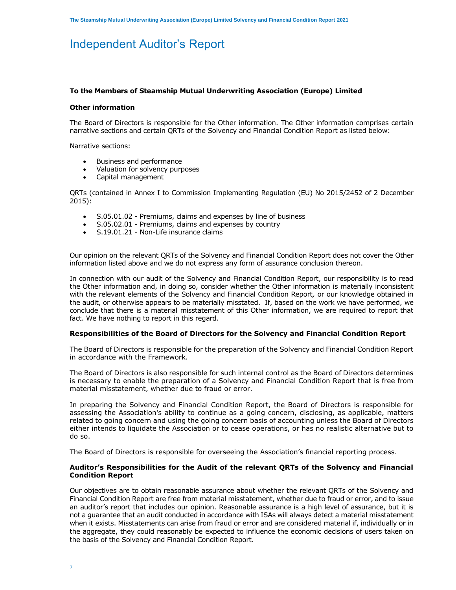## Independent Auditor's Report

### **To the Members of Steamship Mutual Underwriting Association (Europe) Limited**

### **Other information**

The Board of Directors is responsible for the Other information. The Other information comprises certain narrative sections and certain QRTs of the Solvency and Financial Condition Report as listed below:

Narrative sections:

- Business and performance
- Valuation for solvency purposes
- Capital management

QRTs (contained in Annex I to Commission Implementing Regulation (EU) No 2015/2452 of 2 December 2015):

- S.05.01.02 Premiums, claims and expenses by line of business
- S.05.02.01 Premiums, claims and expenses by country
- S.19.01.21 Non-Life insurance claims

Our opinion on the relevant QRTs of the Solvency and Financial Condition Report does not cover the Other information listed above and we do not express any form of assurance conclusion thereon.

In connection with our audit of the Solvency and Financial Condition Report, our responsibility is to read the Other information and, in doing so, consider whether the Other information is materially inconsistent with the relevant elements of the Solvency and Financial Condition Report*,* or our knowledge obtained in the audit, or otherwise appears to be materially misstated. If, based on the work we have performed, we conclude that there is a material misstatement of this Other information, we are required to report that fact. We have nothing to report in this regard.

### **Responsibilities of the Board of Directors for the Solvency and Financial Condition Report**

The Board of Directors is responsible for the preparation of the Solvency and Financial Condition Report in accordance with the Framework.

The Board of Directors is also responsible for such internal control as the Board of Directors determines is necessary to enable the preparation of a Solvency and Financial Condition Report that is free from material misstatement, whether due to fraud or error.

In preparing the Solvency and Financial Condition Report, the Board of Directors is responsible for assessing the Association's ability to continue as a going concern, disclosing, as applicable, matters related to going concern and using the going concern basis of accounting unless the Board of Directors either intends to liquidate the Association or to cease operations, or has no realistic alternative but to do so.

The Board of Directors is responsible for overseeing the Association's financial reporting process.

### **Auditor's Responsibilities for the Audit of the relevant QRTs of the Solvency and Financial Condition Report**

Our objectives are to obtain reasonable assurance about whether the relevant QRTs of the Solvency and Financial Condition Report are free from material misstatement, whether due to fraud or error, and to issue an auditor's report that includes our opinion. Reasonable assurance is a high level of assurance, but it is not a guarantee that an audit conducted in accordance with ISAs will always detect a material misstatement when it exists. Misstatements can arise from fraud or error and are considered material if, individually or in the aggregate, they could reasonably be expected to influence the economic decisions of users taken on the basis of the Solvency and Financial Condition Report.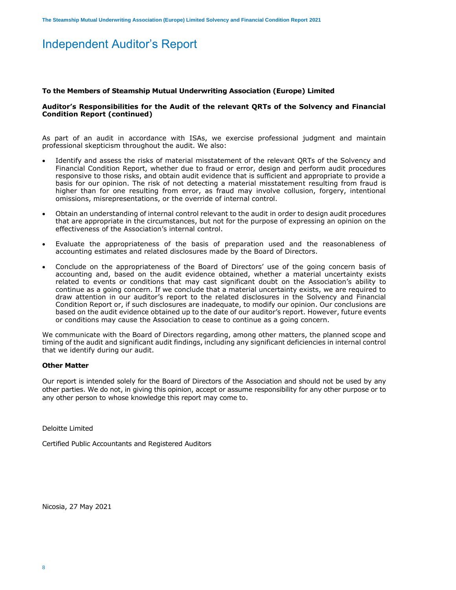## Independent Auditor's Report

### **To the Members of Steamship Mutual Underwriting Association (Europe) Limited**

### **Auditor's Responsibilities for the Audit of the relevant QRTs of the Solvency and Financial Condition Report (continued)**

As part of an audit in accordance with ISAs, we exercise professional judgment and maintain professional skepticism throughout the audit. We also:

- Identify and assess the risks of material misstatement of the relevant QRTs of the Solvency and Financial Condition Report, whether due to fraud or error, design and perform audit procedures responsive to those risks, and obtain audit evidence that is sufficient and appropriate to provide a basis for our opinion. The risk of not detecting a material misstatement resulting from fraud is higher than for one resulting from error, as fraud may involve collusion, forgery, intentional omissions, misrepresentations, or the override of internal control.
- Obtain an understanding of internal control relevant to the audit in order to design audit procedures that are appropriate in the circumstances, but not for the purpose of expressing an opinion on the effectiveness of the Association's internal control.
- Evaluate the appropriateness of the basis of preparation used and the reasonableness of accounting estimates and related disclosures made by the Board of Directors.
- Conclude on the appropriateness of the Board of Directors' use of the going concern basis of accounting and, based on the audit evidence obtained, whether a material uncertainty exists related to events or conditions that may cast significant doubt on the Association's ability to continue as a going concern. If we conclude that a material uncertainty exists, we are required to draw attention in our auditor's report to the related disclosures in the Solvency and Financial Condition Report or, if such disclosures are inadequate, to modify our opinion. Our conclusions are based on the audit evidence obtained up to the date of our auditor's report. However, future events or conditions may cause the Association to cease to continue as a going concern.

We communicate with the Board of Directors regarding, among other matters, the planned scope and timing of the audit and significant audit findings, including any significant deficiencies in internal control that we identify during our audit.

### **Other Matter**

Our report is intended solely for the Board of Directors of the Association and should not be used by any other parties. We do not, in giving this opinion, accept or assume responsibility for any other purpose or to any other person to whose knowledge this report may come to.

Deloitte Limited

Certified Public Accountants and Registered Auditors

Nicosia, 27 May 2021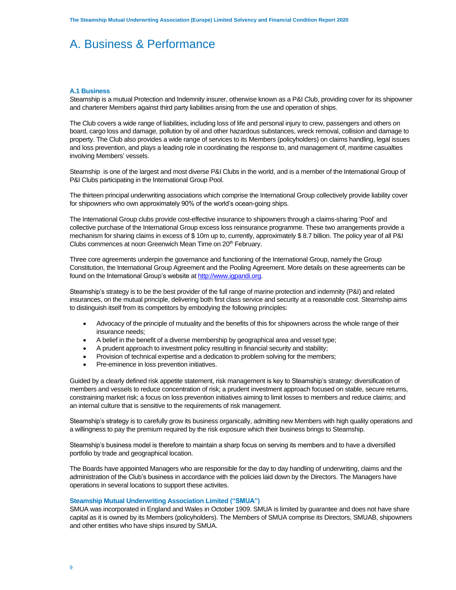### **A.1 Business**

Steamship is a mutual Protection and Indemnity insurer, otherwise known as a P&I Club, providing cover for its shipowner and charterer Members against third party liabilities arising from the use and operation of ships.

The Club covers a wide range of liabilities, including loss of life and personal injury to crew, passengers and others on board, cargo loss and damage, pollution by oil and other hazardous substances, wreck removal, collision and damage to property. The Club also provides a wide range of services to its Members (policyholders) on claims handling, legal issues and loss prevention, and plays a leading role in coordinating the response to, and management of, maritime casualties involving Members' vessels.

Steamship is one of the largest and most diverse P&I Clubs in the world, and is a member of the International Group of P&I Clubs participating in the International Group Pool.

The thirteen principal underwriting associations which comprise the International Group collectively provide liability cover for shipowners who own approximately 90% of the world's ocean-going ships.

The International Group clubs provide cost-effective insurance to shipowners through a claims-sharing 'Pool' and collective purchase of the International Group excess loss reinsurance programme. These two arrangements provide a mechanism for sharing claims in excess of \$ 10m up to, currently, approximately \$ 8.7 billion. The policy year of all P&I Clubs commences at noon Greenwich Mean Time on 20<sup>th</sup> February.

Three core agreements underpin the governance and functioning of the International Group, namely the Group Constitution, the International Group Agreement and the Pooling Agreement. More details on these agreements can be found on the International Group's website at [http://www.igpandi.org.](http://www.igpandi.org/)

Steamship's strategy is to be the best provider of the full range of marine protection and indemnity (P&I) and related insurances, on the mutual principle, delivering both first class service and security at a reasonable cost. Steamship aims to distinguish itself from its competitors by embodying the following principles:

- Advocacy of the principle of mutuality and the benefits of this for shipowners across the whole range of their insurance needs;
- A belief in the benefit of a diverse membership by geographical area and vessel type;
- A prudent approach to investment policy resulting in financial security and stability;
- Provision of technical expertise and a dedication to problem solving for the members;
- Pre-eminence in loss prevention initiatives.

Guided by a clearly defined risk appetite statement, risk management is key to Steamship's strategy: diversification of members and vessels to reduce concentration of risk; a prudent investment approach focused on stable, secure returns, constraining market risk; a focus on loss prevention initiatives aiming to limit losses to members and reduce claims; and an internal culture that is sensitive to the requirements of risk management.

Steamship's strategy is to carefully grow its business organically, admitting new Members with high quality operations and a willingness to pay the premium required by the risk exposure which their business brings to Steamship.

Steamship's business model is therefore to maintain a sharp focus on serving its members and to have a diversified portfolio by trade and geographical location.

The Boards have appointed Managers who are responsible for the day to day handling of underwriting, claims and the administration of the Club's business in accordance with the policies laid down by the Directors. The Managers have operations in several locations to support these activites.

### **Steamship Mutual Underwriting Association Limited ("SMUA")**

SMUA was incorporated in England and Wales in October 1909. SMUA is limited by guarantee and does not have share capital as it is owned by its Members (policyholders). The Members of SMUA comprise its Directors, SMUAB, shipowners and other entities who have ships insured by SMUA.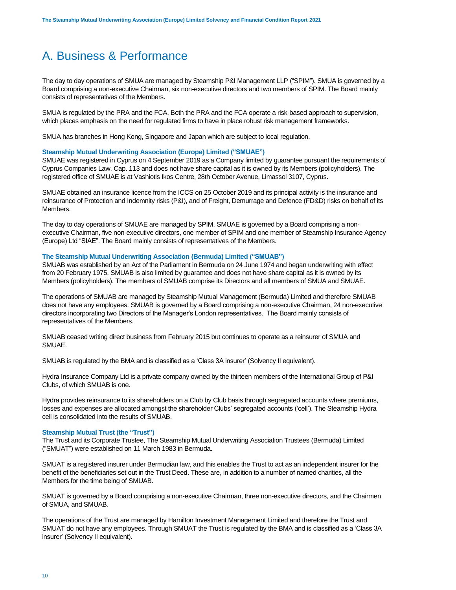The day to day operations of SMUA are managed by Steamship P&I Management LLP ("SPIM"). SMUA is governed by a Board comprising a non-executive Chairman, six non-executive directors and two members of SPIM. The Board mainly consists of representatives of the Members.

SMUA is regulated by the PRA and the FCA. Both the PRA and the FCA operate a risk-based approach to supervision, which places emphasis on the need for regulated firms to have in place robust risk management frameworks.

SMUA has branches in Hong Kong, Singapore and Japan which are subject to local regulation.

### **Steamship Mutual Underwriting Association (Europe) Limited ("SMUAE")**

SMUAE was registered in Cyprus on 4 September 2019 as a Company limited by guarantee pursuant the requirements of Cyprus Companies Law, Cap. 113 and does not have share capital as it is owned by its Members (policyholders). The registered office of SMUAE is at Vashiotis Ikos Centre, 28th October Avenue, Limassol 3107, Cyprus.

SMUAE obtained an insurance licence from the ICCS on 25 October 2019 and its principal activity is the insurance and reinsurance of Protection and Indemnity risks (P&I), and of Freight, Demurrage and Defence (FD&D) risks on behalf of its Members.

The day to day operations of SMUAE are managed by SPIM. SMUAE is governed by a Board comprising a nonexecutive Chairman, five non-executive directors, one member of SPIM and one member of Steamship Insurance Agency (Europe) Ltd "SIAE". The Board mainly consists of representatives of the Members.

### **The Steamship Mutual Underwriting Association (Bermuda) Limited ("SMUAB")**

SMUAB was established by an Act of the Parliament in Bermuda on 24 June 1974 and began underwriting with effect from 20 February 1975. SMUAB is also limited by guarantee and does not have share capital as it is owned by its Members (policyholders). The members of SMUAB comprise its Directors and all members of SMUA and SMUAE.

The operations of SMUAB are managed by Steamship Mutual Management (Bermuda) Limited and therefore SMUAB does not have any employees. SMUAB is governed by a Board comprising a non-executive Chairman, 24 non-executive directors incorporating two Directors of the Manager's London representatives. The Board mainly consists of representatives of the Members.

SMUAB ceased writing direct business from February 2015 but continues to operate as a reinsurer of SMUA and SMUAE.

SMUAB is regulated by the BMA and is classified as a 'Class 3A insurer' (Solvency II equivalent).

Hydra Insurance Company Ltd is a private company owned by the thirteen members of the International Group of P&I Clubs, of which SMUAB is one.

Hydra provides reinsurance to its shareholders on a Club by Club basis through segregated accounts where premiums, losses and expenses are allocated amongst the shareholder Clubs' segregated accounts ('cell'). The Steamship Hydra cell is consolidated into the results of SMUAB.

### **Steamship Mutual Trust (the "Trust")**

The Trust and its Corporate Trustee, The Steamship Mutual Underwriting Association Trustees (Bermuda) Limited ("SMUAT") were established on 11 March 1983 in Bermuda.

SMUAT is a registered insurer under Bermudian law, and this enables the Trust to act as an independent insurer for the benefit of the beneficiaries set out in the Trust Deed. These are, in addition to a number of named charities, all the Members for the time being of SMUAB.

SMUAT is governed by a Board comprising a non-executive Chairman, three non-executive directors, and the Chairmen of SMUA, and SMUAB.

The operations of the Trust are managed by Hamilton Investment Management Limited and therefore the Trust and SMUAT do not have any employees. Through SMUAT the Trust is regulated by the BMA and is classified as a 'Class 3A insurer' (Solvency II equivalent).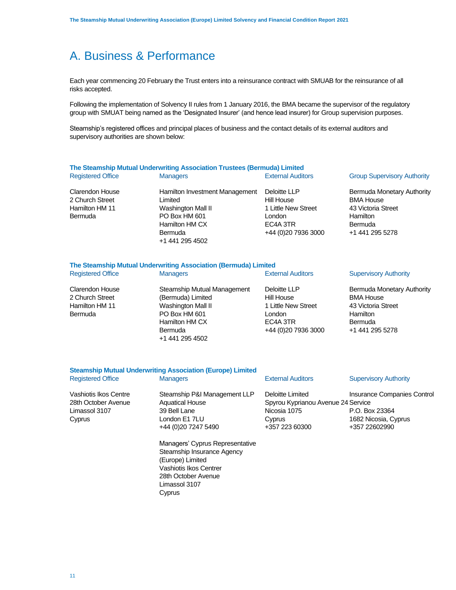Each year commencing 20 February the Trust enters into a reinsurance contract with SMUAB for the reinsurance of all risks accepted.

Following the implementation of Solvency II rules from 1 January 2016, the BMA became the supervisor of the regulatory group with SMUAT being named as the 'Designated Insurer' (and hence lead insurer) for Group supervision purposes.

Steamship's registered offices and principal places of business and the contact details of its external auditors and supervisory authorities are shown below:

### **The Steamship Mutual Underwriting Association Trustees (Bermuda) Limited** Registered Office **Managers** Managers External Auditors Group Supervisory Authority Clarendon House Hamilton Investment Management Deloitte LLP

2 Church Street Hamilton HM 11 Bermuda

Limited Washington Mall II PO Box HM 601 Hamilton HM CX Bermuda +1 441 295 4502

Hill House 1 Little New Street London EC4A 3TR +44 (0)20 7936 3000

Bermuda Monetary Authority BMA House 43 Victoria Street **Hamilton** Bermuda +1 441 295 5278

### **The Steamship Mutual Underwriting Association (Bermuda) Limited**

Limassol 3107 **Cyprus** 

| <b>Registered Office</b> | <b>Managers</b>             | <b>External Auditors</b> | <b>Supervisory Authority</b>      |
|--------------------------|-----------------------------|--------------------------|-----------------------------------|
| Clarendon House          | Steamship Mutual Management | Deloitte LLP             | <b>Bermuda Monetary Authority</b> |
| 2 Church Street          | (Bermuda) Limited           | Hill House               | <b>BMA House</b>                  |
| Hamilton HM 11           | Washington Mall II          | 1 Little New Street      | 43 Victoria Street                |
| Bermuda                  | PO Box HM 601               | London                   | Hamilton                          |
|                          | Hamilton HM CX              | EC4A 3TR                 | Bermuda                           |
|                          | <b>Bermuda</b>              | +44 (0) 20 7936 3000     | +1 441 295 5278                   |
|                          | +1 441 295 4502             |                          |                                   |
|                          |                             |                          |                                   |
|                          |                             |                          |                                   |

|                                                                         | <b>Steamship Mutual Underwriting Association (Europe) Limited</b>                                                                  |                                                                                                    |                                                                                        |
|-------------------------------------------------------------------------|------------------------------------------------------------------------------------------------------------------------------------|----------------------------------------------------------------------------------------------------|----------------------------------------------------------------------------------------|
| <b>Registered Office</b>                                                | <b>Managers</b>                                                                                                                    | <b>External Auditors</b>                                                                           | <b>Supervisory Authority</b>                                                           |
| Vashiotis Ikos Centre<br>28th October Avenue<br>Limassol 3107<br>Cyprus | Steamship P&I Management LLP<br><b>Aquatical House</b><br>39 Bell Lane<br>London E1 7LU<br>+44 (0) 20 7247 5490                    | Deloitte Limited<br>Spyrou Kyprianou Avenue 24 Service<br>Nicosia 1075<br>Cyprus<br>+357 223 60300 | Insurance Companies Control<br>P.O. Box 23364<br>1682 Nicosia, Cyprus<br>+357 22602990 |
|                                                                         | Managers' Cyprus Representative<br>Steamship Insurance Agency<br>(Europe) Limited<br>Vashiotis Ikos Centrer<br>28th October Avenue |                                                                                                    |                                                                                        |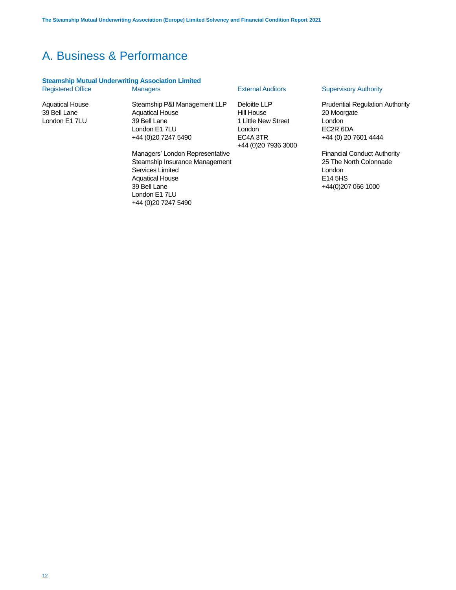# **Steamship Mutual Underwriting Association Limited**<br>Registered Office Managers

Aquatical House 39 Bell Lane London E1 7LU

Steamship P&I Management LLP Aquatical House 39 Bell Lane London E1 7LU +44 (0)20 7247 5490

Deloitte LLP Hill House 1 Little New Street London EC4A 3TR +44 (0)20 7936 3000

Managers' London Representative Steamship Insurance Management Services Limited Aquatical House 39 Bell Lane London E1 7LU +44 (0)20 7247 5490

### Managers **External Auditors** Supervisory Authority

Prudential Regulation Authority 20 Moorgate London EC2R 6DA +44 (0) 20 7601 4444

Financial Conduct Authority 25 The North Colonnade London E14 5HS +44(0)207 066 1000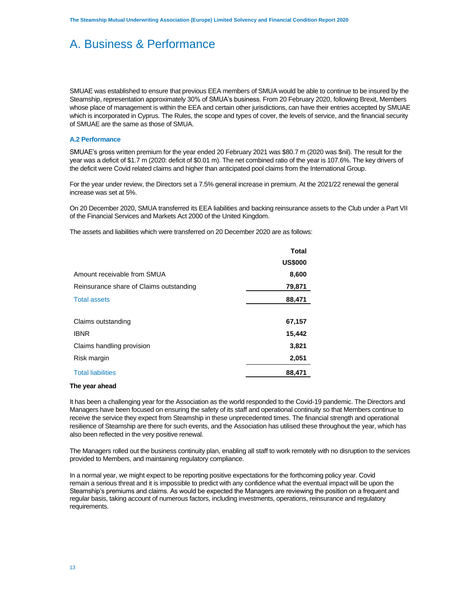SMUAE was established to ensure that previous EEA members of SMUA would be able to continue to be insured by the Steamship, representation approximately 30% of SMUA's business. From 20 February 2020, following Brexit, Members whose place of management is within the EEA and certain other jurisdictions, can have their entries accepted by SMUAE which is incorporated in Cyprus. The Rules, the scope and types of cover, the levels of service, and the financial security of SMUAE are the same as those of SMUA.

### **A.2 Performance**

SMUAE's gross written premium for the year ended 20 February 2021 was \$80.7 m (2020 was \$nil). The result for the year was a deficit of \$1.7 m (2020: deficit of \$0.01 m). The net combined ratio of the year is 107.6%. The key drivers of the deficit were Covid related claims and higher than anticipated pool claims from the International Group.

For the year under review, the Directors set a 7.5% general increase in premium. At the 2021/22 renewal the general increase was set at 5%.

On 20 December 2020, SMUA transferred its EEA liabilities and backing reinsurance assets to the Club under a Part VII of the Financial Services and Markets Act 2000 of the United Kingdom.

The assets and liabilities which were transferred on 20 December 2020 are as follows:

|                                         | <b>Total</b>   |
|-----------------------------------------|----------------|
|                                         | <b>US\$000</b> |
| Amount receivable from SMUA             | 8,600          |
| Reinsurance share of Claims outstanding | 79,871         |
| <b>Total assets</b>                     | 88,471         |
|                                         |                |
| Claims outstanding                      | 67,157         |
| <b>IBNR</b>                             | 15,442         |
| Claims handling provision               | 3,821          |
| Risk margin                             | 2,051          |
| <b>Total liabilities</b>                | 88,471         |

### **The year ahead**

It has been a challenging year for the Association as the world responded to the Covid-19 pandemic. The Directors and Managers have been focused on ensuring the safety of its staff and operational continuity so that Members continue to receive the service they expect from Steamship in these unprecedented times. The financial strength and operational resilience of Steamship are there for such events, and the Association has utilised these throughout the year, which has also been reflected in the very positive renewal.

The Managers rolled out the business continuity plan, enabling all staff to work remotely with no disruption to the services provided to Members, and maintaining regulatory compliance.

In a normal year, we might expect to be reporting positive expectations for the forthcoming policy year. Covid remain a serious threat and it is impossible to predict with any confidence what the eventual impact will be upon the Steamship's premiums and claims. As would be expected the Managers are reviewing the position on a frequent and regular basis, taking account of numerous factors, including investments, operations, reinsurance and regulatory requirements.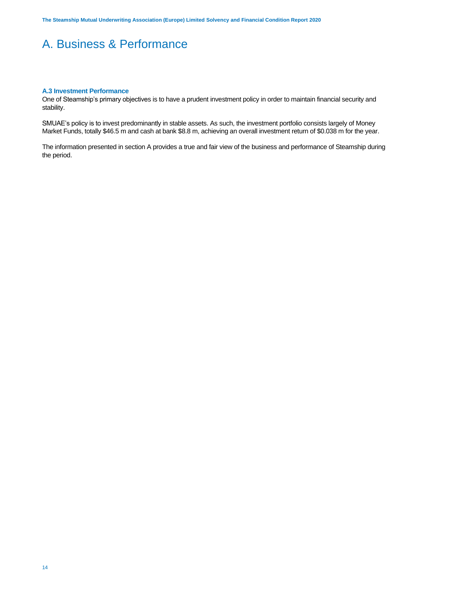### **A.3 Investment Performance**

One of Steamship's primary objectives is to have a prudent investment policy in order to maintain financial security and stability.

SMUAE's policy is to invest predominantly in stable assets. As such, the investment portfolio consists largely of Money Market Funds, totally \$46.5 m and cash at bank \$8.8 m, achieving an overall investment return of \$0.038 m for the year.

The information presented in section A provides a true and fair view of the business and performance of Steamship during the period.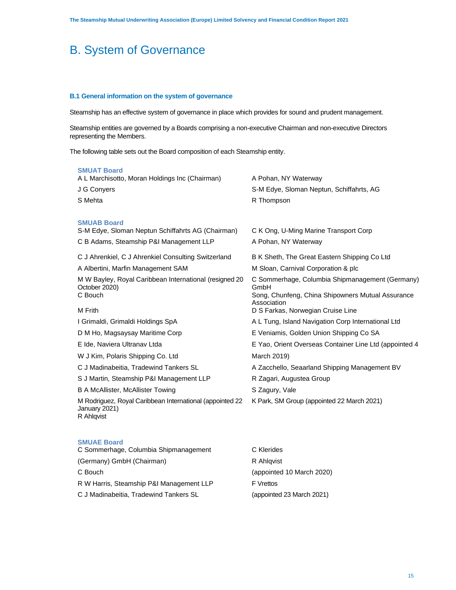### **B.1 General information on the system of governance**

Steamship has an effective system of governance in place which provides for sound and prudent management.

Steamship entities are governed by a Boards comprising a non-executive Chairman and non-executive Directors representing the Members.

The following table sets out the Board composition of each Steamship entity.

| <b>SMUAT Board</b><br>A L Marchisotto, Moran Holdings Inc (Chairman)<br>J G Convers<br>S Mehta                     | A Pohan, NY Waterway<br>S-M Edye, Sloman Neptun, Schiffahrts, AG<br>R Thompson                                              |
|--------------------------------------------------------------------------------------------------------------------|-----------------------------------------------------------------------------------------------------------------------------|
| <b>SMUAB Board</b><br>S-M Edye, Sloman Neptun Schiffahrts AG (Chairman)<br>C B Adams, Steamship P&I Management LLP | C K Ong, U-Ming Marine Transport Corp<br>A Pohan, NY Waterway                                                               |
| C J Ahrenkiel, C J Ahrenkiel Consulting Switzerland                                                                | B K Sheth, The Great Eastern Shipping Co Ltd                                                                                |
| A Albertini, Marfin Management SAM                                                                                 | M Sloan, Carnival Corporation & plc                                                                                         |
| M W Bayley, Royal Caribbean International (resigned 20<br>October 2020)<br>C Bouch                                 | C Sommerhage, Columbia Shipmanagement (Germany)<br>GmbH<br>Song, Chunfeng, China Shipowners Mutual Assurance<br>Association |
| M Frith                                                                                                            | D S Farkas, Norwegian Cruise Line                                                                                           |
| I Grimaldi, Grimaldi Holdings SpA                                                                                  | A L Tung, Island Navigation Corp International Ltd                                                                          |
| D M Ho, Magsaysay Maritime Corp                                                                                    | E Veniamis, Golden Union Shipping Co SA                                                                                     |
| E Ide, Naviera Ultranav Ltda                                                                                       | E Yao, Orient Overseas Container Line Ltd (appointed 4                                                                      |
| W J Kim, Polaris Shipping Co. Ltd                                                                                  | March 2019)                                                                                                                 |
| C J Madinabeitia, Tradewind Tankers SL                                                                             | A Zacchello, Seaarland Shipping Management BV                                                                               |
| S J Martin, Steamship P&I Management LLP                                                                           | R Zagari, Augustea Group                                                                                                    |
| <b>B A McAllister, McAllister Towing</b>                                                                           | S Zagury, Vale                                                                                                              |
| M Rodriguez, Royal Caribbean International (appointed 22<br>January 2021)<br>R Ahlqvist                            | K Park, SM Group (appointed 22 March 2021)                                                                                  |
| <b>SMUAE Board</b>                                                                                                 |                                                                                                                             |

| C Sommerhage, Columbia Shipmanagement    | C Klerides                |
|------------------------------------------|---------------------------|
| (Germany) GmbH (Chairman)                | R Ahlgvist                |
| C Bouch                                  | (appointed 10 March 2020) |
| R W Harris, Steamship P&I Management LLP | <b>F</b> Vrettos          |
| C J Madinabeitia, Tradewind Tankers SL   | (appointed 23 March 2021) |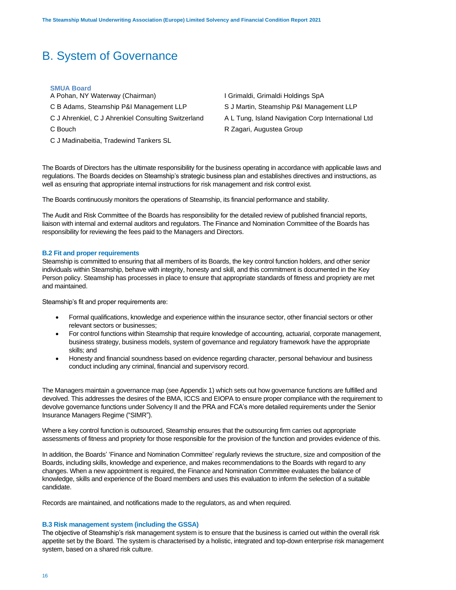### **SMUA Board**

- A Pohan, NY Waterway (Chairman) **I Grimaldi, Grimaldi Holdings SpA**
- C B Adams, Steamship P&I Management LLP S J Martin, Steamship P&I Management LLP
- C J Ahrenkiel, C J Ahrenkiel Consulting Switzerland A L Tung, Island Navigation Corp International Ltd
- 
- C J Madinabeitia, Tradewind Tankers SL
- 
- 
- 
- C Bouch **C Bouch R Zagari, Augustea Group**

The Boards of Directors has the ultimate responsibility for the business operating in accordance with applicable laws and regulations. The Boards decides on Steamship's strategic business plan and establishes directives and instructions, as well as ensuring that appropriate internal instructions for risk management and risk control exist.

The Boards continuously monitors the operations of Steamship, its financial performance and stability.

The Audit and Risk Committee of the Boards has responsibility for the detailed review of published financial reports, liaison with internal and external auditors and regulators. The Finance and Nomination Committee of the Boards has responsibility for reviewing the fees paid to the Managers and Directors.

### **B.2 Fit and proper requirements**

Steamship is committed to ensuring that all members of its Boards, the key control function holders, and other senior individuals within Steamship, behave with integrity, honesty and skill, and this commitment is documented in the Key Person policy. Steamship has processes in place to ensure that appropriate standards of fitness and propriety are met and maintained.

Steamship's fit and proper requirements are:

- Formal qualifications, knowledge and experience within the insurance sector, other financial sectors or other relevant sectors or businesses;
- For control functions within Steamship that require knowledge of accounting, actuarial, corporate management, business strategy, business models, system of governance and regulatory framework have the appropriate skills; and
- Honesty and financial soundness based on evidence regarding character, personal behaviour and business conduct including any criminal, financial and supervisory record.

The Managers maintain a governance map (see Appendix 1) which sets out how governance functions are fulfilled and devolved. This addresses the desires of the BMA, ICCS and EIOPA to ensure proper compliance with the requirement to devolve governance functions under Solvency II and the PRA and FCA's more detailed requirements under the Senior Insurance Managers Regime ("SIMR").

Where a key control function is outsourced, Steamship ensures that the outsourcing firm carries out appropriate assessments of fitness and propriety for those responsible for the provision of the function and provides evidence of this.

In addition, the Boards' 'Finance and Nomination Committee' regularly reviews the structure, size and composition of the Boards, including skills, knowledge and experience, and makes recommendations to the Boards with regard to any changes. When a new appointment is required, the Finance and Nomination Committee evaluates the balance of knowledge, skills and experience of the Board members and uses this evaluation to inform the selection of a suitable candidate.

Records are maintained, and notifications made to the regulators, as and when required.

### **B.3 Risk management system (including the GSSA)**

The objective of Steamship's risk management system is to ensure that the business is carried out within the overall risk appetite set by the Board. The system is characterised by a holistic, integrated and top-down enterprise risk management system, based on a shared risk culture.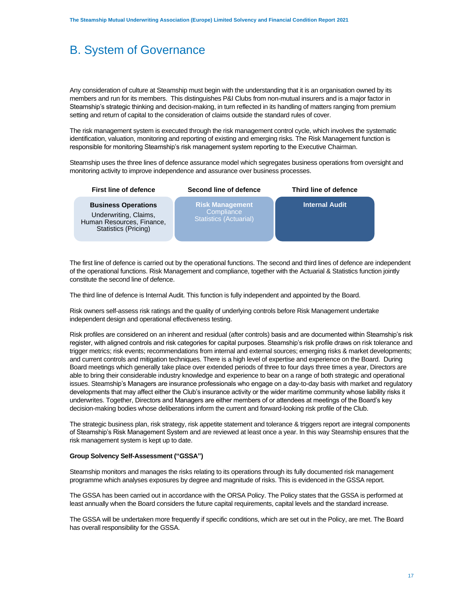Any consideration of culture at Steamship must begin with the understanding that it is an organisation owned by its members and run for its members. This distinguishes P&I Clubs from non-mutual insurers and is a major factor in Steamship's strategic thinking and decision-making, in turn reflected in its handling of matters ranging from premium setting and return of capital to the consideration of claims outside the standard rules of cover.

The risk management system is executed through the risk management control cycle, which involves the systematic identification, valuation, monitoring and reporting of existing and emerging risks. The Risk Management function is responsible for monitoring Steamship's risk management system reporting to the Executive Chairman.

Steamship uses the three lines of defence assurance model which segregates business operations from oversight and monitoring activity to improve independence and assurance over business processes.

**First line of defence Second line of defence Third line of defence**

**Internal Audit**

**Business Operations** Underwriting, Claims, Human Resources, Finance, Statistics (Pricing)

**Risk Management Compliance** Statistics (Actuarial)

The first line of defence is carried out by the operational functions. The second and third lines of defence are independent of the operational functions. Risk Management and compliance, together with the Actuarial & Statistics function jointly constitute the second line of defence.

The third line of defence is Internal Audit. This function is fully independent and appointed by the Board.

Risk owners self-assess risk ratings and the quality of underlying controls before Risk Management undertake independent design and operational effectiveness testing.

Risk profiles are considered on an inherent and residual (after controls) basis and are documented within Steamship's risk register, with aligned controls and risk categories for capital purposes. Steamship's risk profile draws on risk tolerance and trigger metrics; risk events; recommendations from internal and external sources; emerging risks & market developments; and current controls and mitigation techniques. There is a high level of expertise and experience on the Board. During Board meetings which generally take place over extended periods of three to four days three times a year, Directors are able to bring their considerable industry knowledge and experience to bear on a range of both strategic and operational issues. Steamship's Managers are insurance professionals who engage on a day-to-day basis with market and regulatory developments that may affect either the Club's insurance activity or the wider maritime community whose liability risks it underwrites. Together, Directors and Managers are either members of or attendees at meetings of the Board's key decision-making bodies whose deliberations inform the current and forward-looking risk profile of the Club.

The strategic business plan, risk strategy, risk appetite statement and tolerance & triggers report are integral components of Steamship's Risk Management System and are reviewed at least once a year. In this way Steamship ensures that the risk management system is kept up to date.

### **Group Solvency Self-Assessment ("GSSA")**

Steamship monitors and manages the risks relating to its operations through its fully documented risk management programme which analyses exposures by degree and magnitude of risks. This is evidenced in the GSSA report.

The GSSA has been carried out in accordance with the ORSA Policy. The Policy states that the GSSA is performed at least annually when the Board considers the future capital requirements, capital levels and the standard increase.

The GSSA will be undertaken more frequently if specific conditions, which are set out in the Policy, are met. The Board has overall responsibility for the GSSA.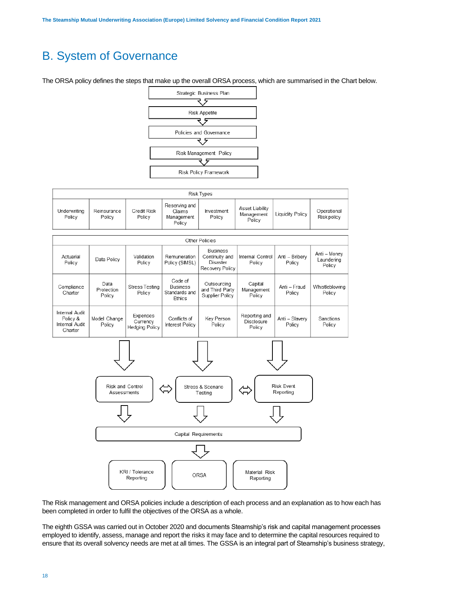The ORSA policy defines the steps that make up the overall ORSA process, which are summarised in the Chart below.



|                        | <b>Risk Types</b>     |                       |                                                 |                      |                                         |                  |                            |
|------------------------|-----------------------|-----------------------|-------------------------------------------------|----------------------|-----------------------------------------|------------------|----------------------------|
| Underwriting<br>Policy | Reinsurance<br>Policy | Credit Risk<br>Policy | Reserving and<br>Claims<br>Management<br>Policy | Investment<br>Policy | Asset Liability<br>Management<br>Policy | Liquidity Policy | Operational<br>Risk policy |

| Other Policies                                                                                                            |                              |                                               |                                                       |                                                                  |                                       |                          |                                      |
|---------------------------------------------------------------------------------------------------------------------------|------------------------------|-----------------------------------------------|-------------------------------------------------------|------------------------------------------------------------------|---------------------------------------|--------------------------|--------------------------------------|
| Actuarial<br>Policy                                                                                                       | Data Policy                  | Validation<br>Policy                          | Remuneration<br>Policy (SIMSL)                        | <b>Business</b><br>Continuity and<br>Disaster<br>Recovery Policy | Internal Control<br>Policy            | Anti - Bribery<br>Policy | Anti - Money<br>Laundering<br>Policy |
| Compliance<br>Charter                                                                                                     | Data<br>Protection<br>Policy | <b>Stress Testing</b><br>Policy               | Code of<br><b>Business</b><br>Standards and<br>Ethics | Outsourcing<br>and Third Party<br>Supplier Policy                | Capital<br>Management<br>Policy       | Anti - Fraud<br>Policy   | Whistleblowing<br>Policy             |
| Internal Audit<br>Policy &<br>Internal Audit<br>Charter                                                                   | Model Change<br>Policy       | Expenses<br>Currency<br><b>Hedging Policy</b> | Conflicts of<br>Interest Policy                       | Key Person<br>Policy                                             | Reporting and<br>Disclosure<br>Policy | Anti - Slavery<br>Policy | Sanctions<br>Policy                  |
| <b>Risk Event</b><br>Risk and Control<br>Stress & Scenario<br>Reporting<br>Assessments<br>Testing<br>Capital Requirements |                              |                                               |                                                       |                                                                  |                                       |                          |                                      |
|                                                                                                                           |                              |                                               |                                                       |                                                                  |                                       |                          |                                      |
| KRI / Tolerance<br>Material Risk<br><b>ORSA</b><br>Reporting<br>Reporting                                                 |                              |                                               |                                                       |                                                                  |                                       |                          |                                      |

The Risk management and ORSA policies include a description of each process and an explanation as to how each has been completed in order to fulfil the objectives of the ORSA as a whole.

The eighth GSSA was carried out in October 2020 and documents Steamship's risk and capital management processes employed to identify, assess, manage and report the risks it may face and to determine the capital resources required to ensure that its overall solvency needs are met at all times. The GSSA is an integral part of Steamship's business strategy,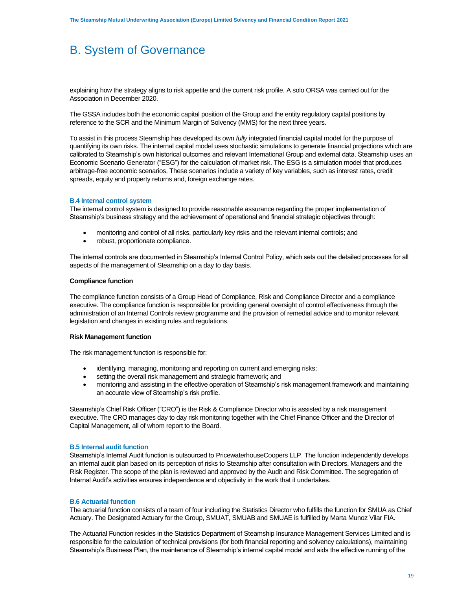explaining how the strategy aligns to risk appetite and the current risk profile. A solo ORSA was carried out for the Association in December 2020.

The GSSA includes both the economic capital position of the Group and the entity regulatory capital positions by reference to the SCR and the Minimum Margin of Solvency (MMS) for the next three years.

To assist in this process Steamship has developed its own *fully* integrated financial capital model for the purpose of quantifying its own risks. The internal capital model uses stochastic simulations to generate financial projections which are calibrated to Steamship's own historical outcomes and relevant International Group and external data. Steamship uses an Economic Scenario Generator ("ESG") for the calculation of market risk. The ESG is a simulation model that produces arbitrage-free economic scenarios. These scenarios include a variety of key variables, such as interest rates, credit spreads, equity and property returns and, foreign exchange rates.

### **B.4 Internal control system**

The internal control system is designed to provide reasonable assurance regarding the proper implementation of Steamship's business strategy and the achievement of operational and financial strategic objectives through:

- monitoring and control of all risks, particularly key risks and the relevant internal controls; and
- robust, proportionate compliance.

The internal controls are documented in Steamship's Internal Control Policy, which sets out the detailed processes for all aspects of the management of Steamship on a day to day basis.

### **Compliance function**

The compliance function consists of a Group Head of Compliance, Risk and Compliance Director and a compliance executive. The compliance function is responsible for providing general oversight of control effectiveness through the administration of an Internal Controls review programme and the provision of remedial advice and to monitor relevant legislation and changes in existing rules and regulations.

### **Risk Management function**

The risk management function is responsible for:

- identifying, managing, monitoring and reporting on current and emerging risks;
- setting the overall risk management and strategic framework; and
- monitoring and assisting in the effective operation of Steamship's risk management framework and maintaining an accurate view of Steamship's risk profile.

Steamship's Chief Risk Officer ("CRO") is the Risk & Compliance Director who is assisted by a risk management executive. The CRO manages day to day risk monitoring together with the Chief Finance Officer and the Director of Capital Management, all of whom report to the Board.

### **B.5 Internal audit function**

Steamship's Internal Audit function is outsourced to PricewaterhouseCoopers LLP. The function independently develops an internal audit plan based on its perception of risks to Steamship after consultation with Directors, Managers and the Risk Register. The scope of the plan is reviewed and approved by the Audit and Risk Committee. The segregation of Internal Audit's activities ensures independence and objectivity in the work that it undertakes.

### **B.6 Actuarial function**

The actuarial function consists of a team of four including the Statistics Director who fulfills the function for SMUA as Chief Actuary. The Designated Actuary for the Group, SMUAT, SMUAB and SMUAE is fulfilled by Marta Munoz Vilar FIA.

The Actuarial Function resides in the Statistics Department of Steamship Insurance Management Services Limited and is responsible for the calculation of technical provisions (for both financial reporting and solvency calculations), maintaining Steamship's Business Plan, the maintenance of Steamship's internal capital model and aids the effective running of the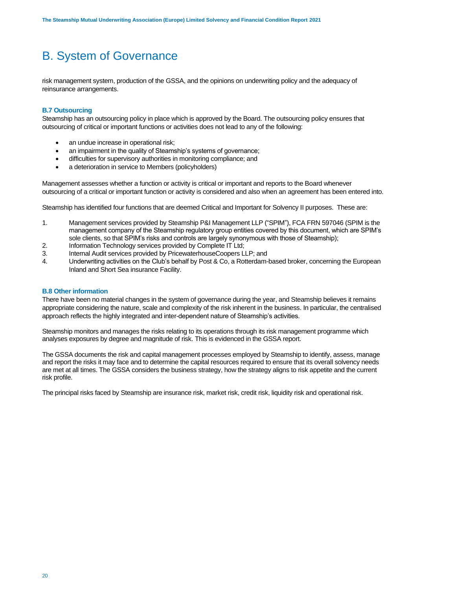risk management system, production of the GSSA, and the opinions on underwriting policy and the adequacy of reinsurance arrangements.

### **B.7 Outsourcing**

Steamship has an outsourcing policy in place which is approved by the Board. The outsourcing policy ensures that outsourcing of critical or important functions or activities does not lead to any of the following:

- an undue increase in operational risk;
- an impairment in the quality of Steamship's systems of governance;
- difficulties for supervisory authorities in monitoring compliance; and
- a deterioration in service to Members (policyholders)

Management assesses whether a function or activity is critical or important and reports to the Board whenever outsourcing of a critical or important function or activity is considered and also when an agreement has been entered into.

Steamship has identified four functions that are deemed Critical and Important for Solvency II purposes. These are:

- 1. Management services provided by Steamship P&I Management LLP ("SPIM"), FCA FRN 597046 (SPIM is the management company of the Steamship regulatory group entities covered by this document, which are SPIM's sole clients, so that SPIM's risks and controls are largely synonymous with those of Steamship);
- 2. Information Technology services provided by Complete IT Ltd;
- 3. Internal Audit services provided by PricewaterhouseCoopers LLP; and
- 4. Underwriting activities on the Club's behalf by Post & Co, a Rotterdam-based broker, concerning the European Inland and Short Sea insurance Facility.

### **B.8 Other information**

There have been no material changes in the system of governance during the year, and Steamship believes it remains appropriate considering the nature, scale and complexity of the risk inherent in the business. In particular, the centralised approach reflects the highly integrated and inter-dependent nature of Steamship's activities.

Steamship monitors and manages the risks relating to its operations through its risk management programme which analyses exposures by degree and magnitude of risk. This is evidenced in the GSSA report.

The GSSA documents the risk and capital management processes employed by Steamship to identify, assess, manage and report the risks it may face and to determine the capital resources required to ensure that its overall solvency needs are met at all times. The GSSA considers the business strategy, how the strategy aligns to risk appetite and the current risk profile.

The principal risks faced by Steamship are insurance risk, market risk, credit risk, liquidity risk and operational risk.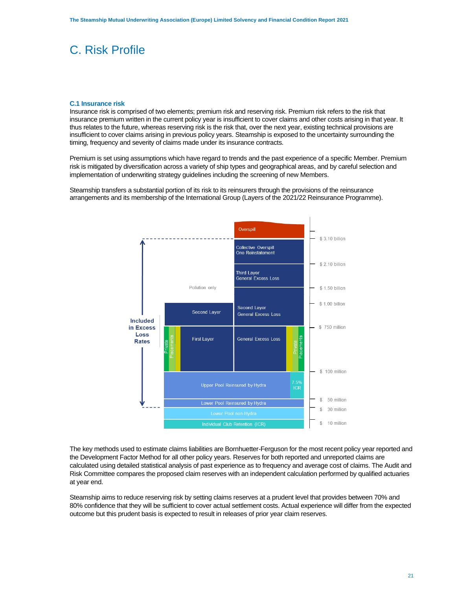### **C.1 Insurance risk**

Insurance risk is comprised of two elements; premium risk and reserving risk. Premium risk refers to the risk that insurance premium written in the current policy year is insufficient to cover claims and other costs arising in that year. It thus relates to the future, whereas reserving risk is the risk that, over the next year, existing technical provisions are insufficient to cover claims arising in previous policy years. Steamship is exposed to the uncertainty surrounding the timing, frequency and severity of claims made under its insurance contracts.

Premium is set using assumptions which have regard to trends and the past experience of a specific Member. Premium risk is mitigated by diversification across a variety of ship types and geographical areas, and by careful selection and implementation of underwriting strategy guidelines including the screening of new Members.

Steamship transfers a substantial portion of its risk to its reinsurers through the provisions of the reinsurance arrangements and its membership of the International Group (Layers of the 2021/22 Reinsurance Programme).



The key methods used to estimate claims liabilities are Bornhuetter-Ferguson for the most recent policy year reported and the Development Factor Method for all other policy years. Reserves for both reported and unreported claims are calculated using detailed statistical analysis of past experience as to frequency and average cost of claims. The Audit and Risk Committee compares the proposed claim reserves with an independent calculation performed by qualified actuaries at year end.

Steamship aims to reduce reserving risk by setting claims reserves at a prudent level that provides between 70% and 80% confidence that they will be sufficient to cover actual settlement costs. Actual experience will differ from the expected outcome but this prudent basis is expected to result in releases of prior year claim reserves.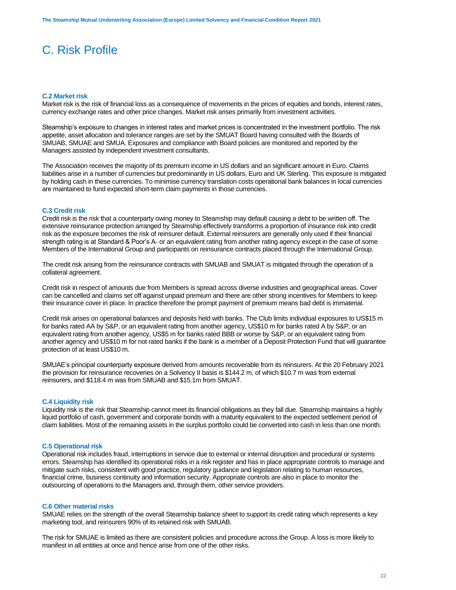### **C.2 Market risk**

Market risk is the risk of financial loss as a consequence of movements in the prices of equities and bonds, interest rates, currency exchange rates and other price changes. Market risk arises primarily from investment activities.

Steamship's exposure to changes in interest rates and market prices is concentrated in the investment portfolio. The risk appetite, asset allocation and tolerance ranges are set by the SMUAT Board having consulted with the Boards of SMUAB, SMUAE and SMUA. Exposures and compliance with Board policies are monitored and reported by the Managers assisted by independent investment consultants.

The Association receives the majority of its premium income in US dollars and an significant amount in Euro. Claims liabilities arise in a number of currencies but predominantly in US dollars, Euro and UK Sterling. This exposure is mitigated by holding cash in these currencies. To minimise currency translation costs operational bank balances in local currencies are maintained to fund expected short-term claim payments in those currencies.

### **C.3 Credit risk**

Credit risk is the risk that a counterparty owing money to Steamship may default causing a debt to be written off. The extensive reinsurance protection arranged by Steamship effectively transforms a proportion of insurance risk into credit risk as the exposure becomes the risk of reinsurer default. External reinsurers are generally only used if their financial strength rating is at Standard & Poor's A- or an equivalent rating from another rating agency except in the case of some Members of the International Group and participants on reinsurance contracts placed through the International Group.

The credit risk arising from the reinsurance contracts with SMUAB and SMUAT is mitigated through the operation of a collateral agreement.

Credit risk in respect of amounts due from Members is spread across diverse industries and geographical areas. Cover can be cancelled and claims set off against unpaid premium and there are other strong incentives for Members to keep their insurance cover in place. In practice therefore the prompt payment of premium means bad debt is immaterial.

Credit risk arises on operational balances and deposits held with banks. The Club limits individual exposures to US\$15 m for banks rated AA by S&P, or an equivalent rating from another agency, US\$10 m for banks rated A by S&P, or an equivalent rating from another agency, US\$5 m for banks rated BBB or worse by S&P, or an equivalent rating from another agency and US\$10 m for not rated banks if the bank is a member of a Deposit Protection Fund that will guarantee protection of at least US\$10 m.

SMUAE's principal counterparty exposure derived from amounts recoverable from its reinsurers. At the 20 February 2021 the provision for reinsurance recoveries on a Solvency II basis is \$144.2 m, of which \$10.7 m was from external reinsurers, and \$118.4 m was from SMUAB and \$15.1m from SMUAT.

### **C.4 Liquidity risk**

Liquidity risk is the risk that Steamship cannot meet its financial obligations as they fall due. Steamship maintains a highly liquid portfolio of cash, government and corporate bonds with a maturity equivalent to the expected settlement period of claim liabilities. Most of the remaining assets in the surplus portfolio could be converted into cash in less than one month.

### **C.5 Operational risk**

Operational risk includes fraud, interruptions in service due to external or internal disruption and procedural or systems errors. Steamship has identified its operational risks in a risk register and has in place appropriate controls to manage and mitigate such risks, consistent with good practice, regulatory guidance and legislation relating to human resources, financial crime, business continuity and information security. Appropriate controls are also in place to monitor the outsourcing of operations to the Managers and, through them, other service providers.

### **C.6 Other material risks**

SMUAE relies on the strength of the overall Steamship balance sheet to support its credit rating which represents a key marketing tool, and reinsurers 90% of its retained risk with SMUAB.

The risk for SMUAE is limited as there are consistent policies and procedure across the Group. A loss is more likely to manifest in all entities at once and hence arise from one of the other risks.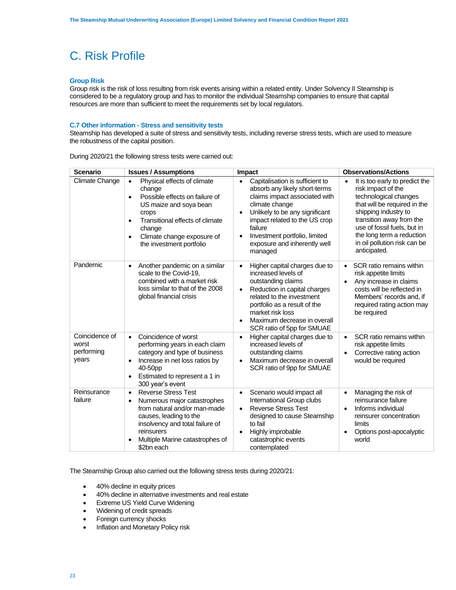### **Group Risk**

Group risk is the risk of loss resulting from risk events arising within a related entity. Under Solvency II Steamship is considered to be a regulatory group and has to monitor the individual Steamship companies to ensure that capital resources are more than sufficient to meet the requirements set by local regulators.

### **C.7 Other information - Stress and sensitivity tests**

Steamship has developed a suite of stress and sensitivity tests, including reverse stress tests, which are used to measure the robustness of the capital position.

| <b>Scenario</b>                                | <b>Issues / Assumptions</b>                                                                                                                                                                                                                                           | Impact                                                                                                                                                                                                                                                                                                  | <b>Observations/Actions</b>                                                                                                                                                                                                                                                   |  |
|------------------------------------------------|-----------------------------------------------------------------------------------------------------------------------------------------------------------------------------------------------------------------------------------------------------------------------|---------------------------------------------------------------------------------------------------------------------------------------------------------------------------------------------------------------------------------------------------------------------------------------------------------|-------------------------------------------------------------------------------------------------------------------------------------------------------------------------------------------------------------------------------------------------------------------------------|--|
| Climate Change                                 | Physical effects of climate<br>$\bullet$<br>change<br>Possible effects on failure of<br>$\bullet$<br>US maize and soya bean<br>crops<br>Transitional effects of climate<br>$\bullet$<br>change<br>Climate change exposure of<br>$\bullet$<br>the investment portfolio | Capitalisation is sufficient to<br>$\bullet$<br>absorb any likely short-terms<br>claims impact associated with<br>climate change<br>Unlikely to be any significant<br>impact related to the US crop<br>failure<br>Investment portfolio, limited<br>$\bullet$<br>exposure and inherently well<br>managed | It is too early to predict the<br>risk impact of the<br>technological changes<br>that will be required in the<br>shipping industry to<br>transition away from the<br>use of fossil fuels, but in<br>the long term a reduction<br>in oil pollution risk can be<br>anticipated. |  |
| Pandemic                                       | Another pandemic on a similar<br>$\bullet$<br>scale to the Covid-19,<br>combined with a market risk<br>loss similar to that of the 2008<br>global financial crisis                                                                                                    | Higher capital charges due to<br>$\bullet$<br>increased levels of<br>outstanding claims<br>Reduction in capital charges<br>$\bullet$<br>related to the investment<br>portfolio as a result of the<br>market risk loss<br>Maximum decrease in overall<br>SCR ratio of 5pp for SMUAE                      | SCR ratio remains within<br>$\bullet$<br>risk appetite limits<br>Any increase in claims<br>$\bullet$<br>costs will be reflected in<br>Members' records and, if<br>required rating action may<br>be required                                                                   |  |
| Coincidence of<br>worst<br>performing<br>years | Coincidence of worst<br>$\bullet$<br>performing years in each claim<br>category and type of business<br>Increase in net loss ratios by<br>$\bullet$<br>40-50pp<br>Estimated to represent a 1 in<br>$\bullet$<br>300 year's event                                      | Higher capital charges due to<br>increased levels of<br>outstanding claims<br>Maximum decrease in overall<br>$\bullet$<br>SCR ratio of 9pp for SMUAE                                                                                                                                                    | SCR ratio remains within<br>$\bullet$<br>risk appetite limits<br>Corrective rating action<br>$\bullet$<br>would be required                                                                                                                                                   |  |
| Reinsurance<br>failure                         | <b>Reverse Stress Test</b><br>$\bullet$<br>Numerous major catastrophes<br>$\bullet$<br>from natural and/or man-made<br>causes, leading to the<br>insolvency and total failure of<br>reinsurers<br>Multiple Marine catastrophes of<br>\$2bn each                       | Scenario would impact all<br>$\bullet$<br>International Group clubs<br><b>Reverse Stress Test</b><br>$\bullet$<br>designed to cause Steamship<br>to fail<br>Highly improbable<br>$\bullet$<br>catastrophic events<br>contemplated                                                                       | Managing the risk of<br>$\bullet$<br>reinsurance failure<br>Informs individual<br>$\bullet$<br>reinsurer concentration<br>limits<br>Options post-apocalyptic<br>$\bullet$<br>world                                                                                            |  |

During 2020/21 the following stress tests were carried out:

The Steamship Group also carried out the following stress tests during 2020/21:

- 40% decline in equity prices
- 40% decline in alternative investments and real estate
- Extreme US Yield Curve Widening
- Widening of credit spreads
- Foreign currency shocks
- Inflation and Monetary Policy risk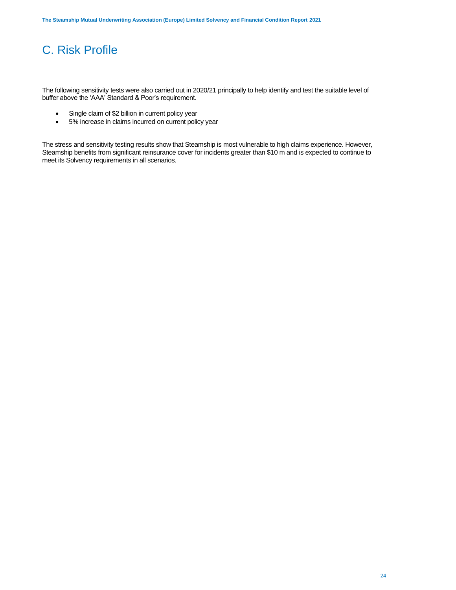The following sensitivity tests were also carried out in 2020/21 principally to help identify and test the suitable level of buffer above the 'AAA' Standard & Poor's requirement.

- Single claim of \$2 billion in current policy year
- 5% increase in claims incurred on current policy year

The stress and sensitivity testing results show that Steamship is most vulnerable to high claims experience. However, Steamship benefits from significant reinsurance cover for incidents greater than \$10 m and is expected to continue to meet its Solvency requirements in all scenarios.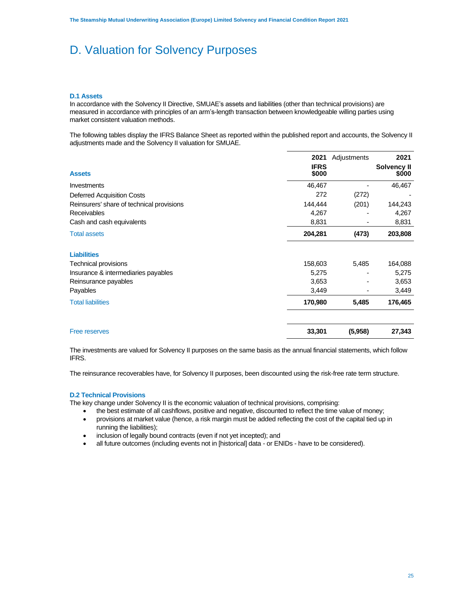# D. Valuation for Solvency Purposes

### **D.1 Assets**

In accordance with the Solvency II Directive, SMUAE's assets and liabilities (other than technical provisions) are measured in accordance with principles of an arm's-length transaction between knowledgeable willing parties using market consistent valuation methods.

The following tables display the IFRS Balance Sheet as reported within the published report and accounts, the Solvency II adjustments made and the Solvency II valuation for SMUAE.

|                                           | 2021                 | Adjustments | 2021                 |
|-------------------------------------------|----------------------|-------------|----------------------|
| <b>Assets</b>                             | <b>IFRS</b><br>\$000 |             | Solvency II<br>\$000 |
| Investments                               | 46,467               |             | 46,467               |
| <b>Deferred Acquisition Costs</b>         | 272                  | (272)       |                      |
| Reinsurers' share of technical provisions | 144,444              | (201)       | 144,243              |
| <b>Receivables</b>                        | 4,267                |             | 4,267                |
| Cash and cash equivalents                 | 8,831                |             | 8,831                |
| <b>Total assets</b>                       | 204,281              | (473)       | 203,808              |
| <b>Liabilities</b>                        |                      |             |                      |
| Technical provisions                      | 158,603              | 5,485       | 164,088              |
| Insurance & intermediaries payables       | 5,275                |             | 5,275                |
| Reinsurance payables                      | 3,653                |             | 3,653                |
| Payables                                  | 3,449                |             | 3,449                |
| <b>Total liabilities</b>                  | 170,980              | 5,485       | 176,465              |
| Free reserves                             | 33,301               | (5,958)     | 27,343               |

The investments are valued for Solvency II purposes on the same basis as the annual financial statements, which follow IFRS.

The reinsurance recoverables have, for Solvency II purposes, been discounted using the risk-free rate term structure.

### **D.2 Technical Provisions**

The key change under Solvency II is the economic valuation of technical provisions, comprising:

• the best estimate of all cashflows, positive and negative, discounted to reflect the time value of money;

- provisions at market value (hence, a risk margin must be added reflecting the cost of the capital tied up in running the liabilities);
- inclusion of legally bound contracts (even if not yet incepted); and
- all future outcomes (including events not in [historical] data or ENIDs have to be considered).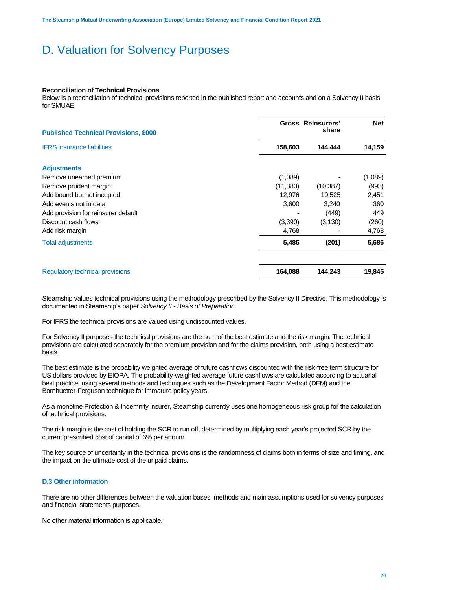# D. Valuation for Solvency Purposes

### **Reconciliation of Technical Provisions**

Below is a reconciliation of technical provisions reported in the published report and accounts and on a Solvency II basis for SMUAE.

| <b>Published Technical Provisions, \$000</b> |          | <b>Gross Reinsurers'</b><br>share | <b>Net</b> |
|----------------------------------------------|----------|-----------------------------------|------------|
| <b>IFRS</b> insurance liabilities            | 158,603  | 144,444                           | 14,159     |
| <b>Adjustments</b>                           |          |                                   |            |
| Remove unearned premium                      | (1,089)  |                                   | (1,089)    |
| Remove prudent margin                        | (11,380) | (10, 387)                         | (993)      |
| Add bound but not incepted                   | 12,976   | 10,525                            | 2,451      |
| Add events not in data                       | 3,600    | 3,240                             | 360        |
| Add provision for reinsurer default          |          | (449)                             | 449        |
| Discount cash flows                          | (3,390)  | (3, 130)                          | (260)      |
| Add risk margin                              | 4,768    |                                   | 4,768      |
| <b>Total adjustments</b>                     | 5,485    | (201)                             | 5,686      |
| <b>Regulatory technical provisions</b>       | 164,088  | 144,243                           | 19,845     |

Steamship values technical provisions using the methodology prescribed by the Solvency II Directive. This methodology is documented in Steamship's paper *Solvency II - Basis of Preparation*.

For IFRS the technical provisions are valued using undiscounted values.

For Solvency II purposes the technical provisions are the sum of the best estimate and the risk margin. The technical provisions are calculated separately for the premium provision and for the claims provision, both using a best estimate basis.

The best estimate is the probability weighted average of future cashflows discounted with the risk-free term structure for US dollars provided by EIOPA. The probability-weighted average future cashflows are calculated according to actuarial best practice, using several methods and techniques such as the Development Factor Method (DFM) and the Bornhuetter-Ferguson technique for immature policy years.

As a monoline Protection & Indemnity insurer, Steamship currently uses one homogeneous risk group for the calculation of technical provisions.

The risk margin is the cost of holding the SCR to run off, determined by multiplying each year's projected SCR by the current prescribed cost of capital of 6% per annum.

The key source of uncertainty in the technical provisions is the randomness of claims both in terms of size and timing, and the impact on the ultimate cost of the unpaid claims.

### **D.3 Other information**

There are no other differences between the valuation bases, methods and main assumptions used for solvency purposes and financial statements purposes.

No other material information is applicable.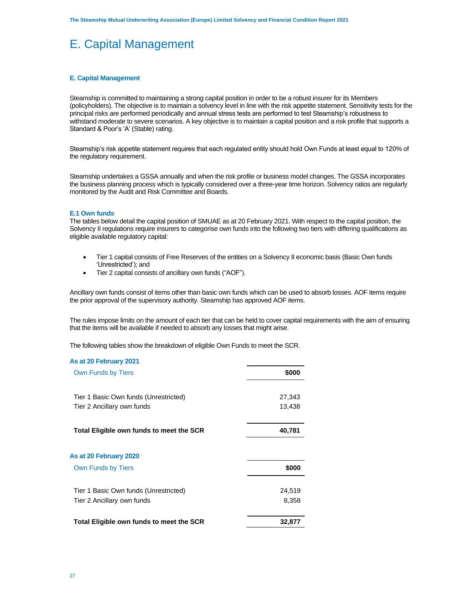# E. Capital Management

### **E. Capital Management**

Steamship is committed to maintaining a strong capital position in order to be a robust insurer for its Members (policyholders). The objective is to maintain a solvency level in line with the risk appetite statement. Sensitivity tests for the principal risks are performed periodically and annual stress tests are performed to test Steamship's robustness to withstand moderate to severe scenarios. A key objective is to maintain a capital position and a risk profile that supports a Standard & Poor's 'A' (Stable) rating.

Steamship's risk appetite statement requires that each regulated entity should hold Own Funds at least equal to 120% of the regulatory requirement.

Steamship undertakes a GSSA annually and when the risk profile or business model changes. The GSSA incorporates the business planning process which is typically considered over a three-year time horizon. Solvency ratios are regularly monitored by the Audit and Risk Committee and Boards.

### **E.1 Own funds**

The tables below detail the capital position of SMUAE as at 20 February 2021. With respect to the capital position, the Solvency II regulations require insurers to categorise own funds into the following two tiers with differing qualifications as eligible available regulatory capital:

- Tier 1 capital consists of Free Reserves of the entities on a Solvency II economic basis (Basic Own funds 'Unrestricted'); and
- Tier 2 capital consists of ancillary own funds ("AOF").

Ancillary own funds consist of items other than basic own funds which can be used to absorb losses. AOF items require the prior approval of the supervisory authority. Steamship has approved AOF items.

The rules impose limits on the amount of each tier that can be held to cover capital requirements with the aim of ensuring that the items will be available if needed to absorb any losses that might arise.

The following tables show the breakdown of eligible Own Funds to meet the SCR.

| As at 20 February 2021                   |        |
|------------------------------------------|--------|
| <b>Own Funds by Tiers</b>                | \$000  |
| Tier 1 Basic Own funds (Unrestricted)    | 27,343 |
| Tier 2 Ancillary own funds               | 13,438 |
| Total Eligible own funds to meet the SCR | 40,781 |
| As at 20 February 2020                   |        |
| <b>Own Funds by Tiers</b>                | \$000  |
| Tier 1 Basic Own funds (Unrestricted)    | 24,519 |
| Tier 2 Ancillary own funds               | 8,358  |
| Total Eligible own funds to meet the SCR | 32,877 |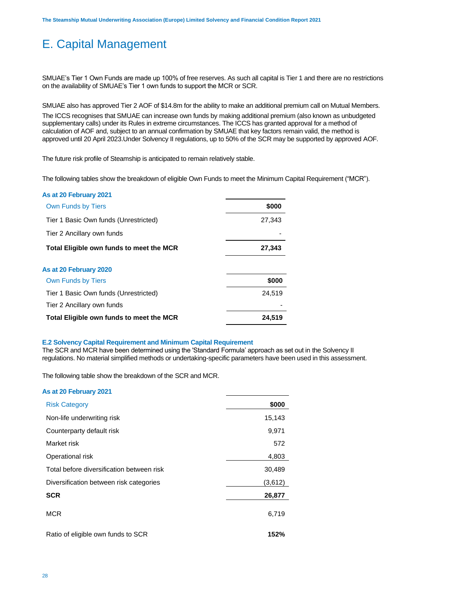# E. Capital Management

SMUAE's Tier 1 Own Funds are made up 100% of free reserves. As such all capital is Tier 1 and there are no restrictions on the availability of SMUAE's Tier 1 own funds to support the MCR or SCR.

SMUAE also has approved Tier 2 AOF of \$14.8m for the ability to make an additional premium call on Mutual Members.

The ICCS recognises that SMUAE can increase own funds by making additional premium (also known as unbudgeted supplementary calls) under its Rules in extreme circumstances. The ICCS has granted approval for a method of calculation of AOF and, subject to an annual confirmation by SMUAE that key factors remain valid, the method is approved until 20 April 2023.Under Solvency II regulations, up to 50% of the SCR may be supported by approved AOF.

The future risk profile of Steamship is anticipated to remain relatively stable.

The following tables show the breakdown of eligible Own Funds to meet the Minimum Capital Requirement ("MCR").

| As at 20 February 2021                   |        |
|------------------------------------------|--------|
| Own Funds by Tiers                       | \$000  |
| Tier 1 Basic Own funds (Unrestricted)    | 27,343 |
| Tier 2 Ancillary own funds               |        |
| Total Eligible own funds to meet the MCR | 27,343 |
| As at 20 February 2020                   |        |
| <b>Own Funds by Tiers</b>                | \$000  |
| Tier 1 Basic Own funds (Unrestricted)    | 24.519 |
| Tier 2 Ancillary own funds               |        |
| Total Eligible own funds to meet the MCR | 24.519 |
|                                          |        |

### **E.2 Solvency Capital Requirement and Minimum Capital Requirement**

The SCR and MCR have been determined using the 'Standard Formula' approach as set out in the Solvency II regulations. No material simplified methods or undertaking-specific parameters have been used in this assessment.

The following table show the breakdown of the SCR and MCR.

### **As at 20 February 2021**

| <b>Risk Category</b>                      | \$000   |
|-------------------------------------------|---------|
| Non-life underwriting risk                | 15,143  |
| Counterparty default risk                 | 9,971   |
| Market risk                               | 572     |
| Operational risk                          | 4,803   |
| Total before diversification between risk | 30,489  |
| Diversification between risk categories   | (3,612) |
| <b>SCR</b>                                | 26,877  |
| <b>MCR</b>                                | 6,719   |
| Ratio of eligible own funds to SCR        | 152%    |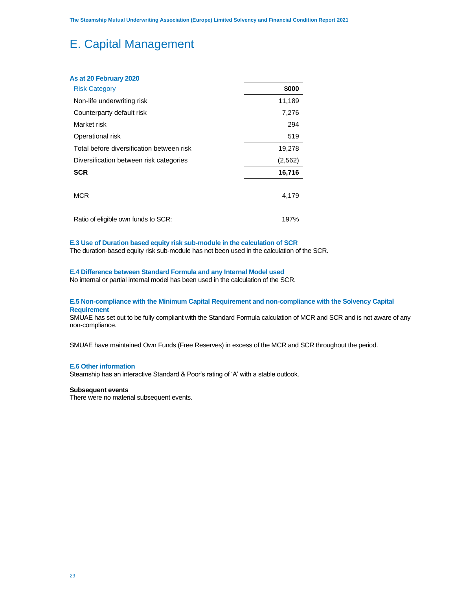# E. Capital Management

| As at 20 February 2020                    |          |
|-------------------------------------------|----------|
| <b>Risk Category</b>                      | \$000    |
| Non-life underwriting risk                | 11,189   |
| Counterparty default risk                 | 7,276    |
| Market risk                               | 294      |
| Operational risk                          | 519      |
| Total before diversification between risk | 19,278   |
| Diversification between risk categories   | (2, 562) |
| <b>SCR</b>                                | 16,716   |
| <b>MCR</b>                                | 4,179    |
| Ratio of eligible own funds to SCR:       | 197%     |

### **E.3 Use of Duration based equity risk sub-module in the calculation of SCR**

The duration-based equity risk sub-module has not been used in the calculation of the SCR.

### **E.4 Difference between Standard Formula and any Internal Model used**

No internal or partial internal model has been used in the calculation of the SCR.

### **E.5 Non-compliance with the Minimum Capital Requirement and non-compliance with the Solvency Capital Requirement**

SMUAE has set out to be fully compliant with the Standard Formula calculation of MCR and SCR and is not aware of any non-compliance.

SMUAE have maintained Own Funds (Free Reserves) in excess of the MCR and SCR throughout the period.

### **E.6 Other information**

Steamship has an interactive Standard & Poor's rating of 'A' with a stable outlook.

### **Subsequent events**

There were no material subsequent events.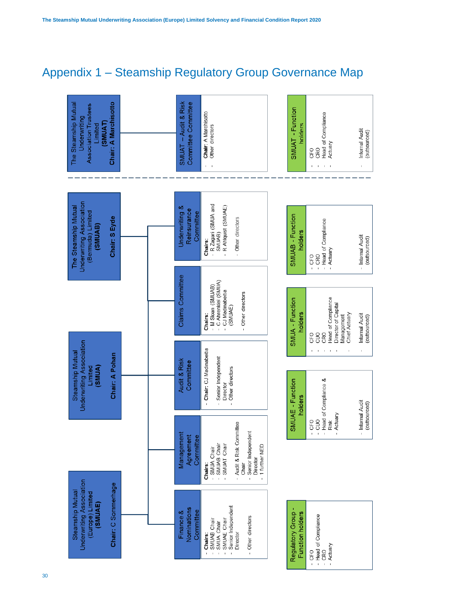# Appendix 1 – Steamship Regulatory Group Governance Map

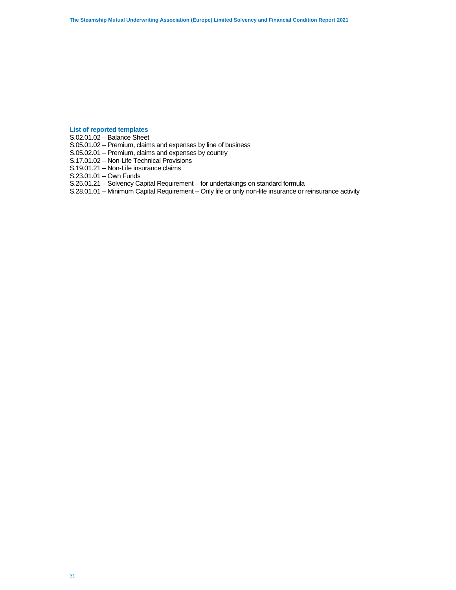### **List of reported templates**

S.02.01.02 – Balance Sheet

S.05.01.02 – Premium, claims and expenses by line of business

S.05.02.01 – Premium, claims and expenses by country

S.17.01.02 – Non-Life Technical Provisions

S.19.01.21 – Non-Life insurance claims

S.23.01.01 – Own Funds

S.25.01.21 – Solvency Capital Requirement – for undertakings on standard formula

S.28.01.01 – Minimum Capital Requirement – Only life or only non-life insurance or reinsurance activity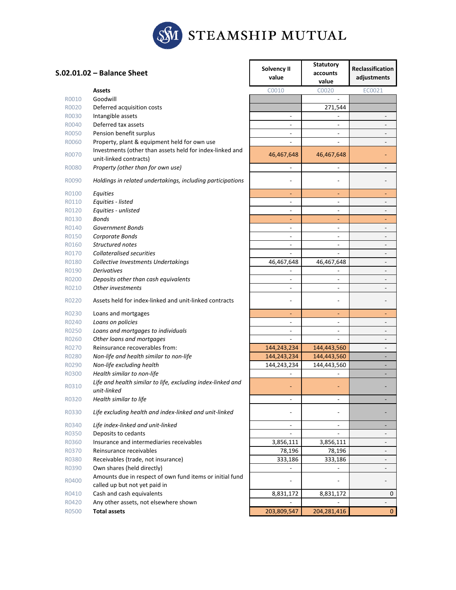

|       | S.02.01.02 - Balance Sheet                                                                | Solvency II<br>value         | <b>Statutory</b><br>accounts<br>value | <b>Reclassification</b><br>adjustments |
|-------|-------------------------------------------------------------------------------------------|------------------------------|---------------------------------------|----------------------------------------|
|       | <b>Assets</b>                                                                             | C0010                        | C0020                                 | EC0021                                 |
| R0010 | Goodwill                                                                                  |                              |                                       |                                        |
| R0020 | Deferred acquisition costs                                                                |                              | 271,544                               |                                        |
| R0030 | Intangible assets                                                                         | $\sim$                       |                                       | $\overline{a}$                         |
| R0040 | Deferred tax assets                                                                       | $\overline{\phantom{a}}$     |                                       |                                        |
| R0050 | Pension benefit surplus                                                                   | $\overline{\phantom{a}}$     | $\blacksquare$                        | $\overline{\phantom{0}}$               |
| R0060 | Property, plant & equipment held for own use                                              |                              |                                       | $\overline{\phantom{0}}$               |
| R0070 | Investments (other than assets held for index-linked and<br>unit-linked contracts)        | 46,467,648                   | 46,467,648                            |                                        |
| R0080 | Property (other than for own use)                                                         | $\frac{1}{2}$                |                                       |                                        |
| R0090 | Holdings in related undertakings, including participations                                |                              |                                       |                                        |
| R0100 | Equities                                                                                  | ٠                            | ÷                                     | ٠                                      |
| R0110 | Equities - listed                                                                         | $\overline{\phantom{a}}$     | $\blacksquare$                        | $\overline{\phantom{0}}$               |
| R0120 | Equities - unlisted                                                                       | $\overline{\phantom{a}}$     | $\overline{\phantom{a}}$              | $\overline{\phantom{0}}$               |
| R0130 | <b>Bonds</b>                                                                              | ٠                            |                                       |                                        |
| R0140 | Government Bonds                                                                          |                              |                                       |                                        |
| R0150 | Corporate Bonds                                                                           | $\overline{\phantom{a}}$     | $\blacksquare$                        | $\overline{\phantom{0}}$               |
| R0160 | Structured notes                                                                          | $\qquad \qquad \blacksquare$ | $\blacksquare$                        | $\overline{\phantom{0}}$               |
| R0170 | <b>Collateralised securities</b>                                                          |                              |                                       | $\overline{\phantom{0}}$               |
| R0180 | Collective Investments Undertakings                                                       | 46,467,648                   | 46,467,648                            | $\overline{\phantom{0}}$               |
| R0190 | <b>Derivatives</b>                                                                        |                              |                                       |                                        |
| R0200 | Deposits other than cash equivalents                                                      | $\overline{\phantom{a}}$     | $\blacksquare$                        | $\overline{\phantom{0}}$               |
| R0210 | Other investments                                                                         | $\overline{\phantom{a}}$     | $\overline{\phantom{a}}$              |                                        |
| R0220 | Assets held for index-linked and unit-linked contracts                                    | ۰                            |                                       |                                        |
| R0230 | Loans and mortgages                                                                       | ٠                            | ٠                                     | ٠                                      |
| R0240 | Loans on policies                                                                         | $\blacksquare$               | $\overline{a}$                        | $\overline{\phantom{0}}$               |
| R0250 | Loans and mortgages to individuals                                                        | $\overline{\phantom{a}}$     |                                       | $\overline{a}$                         |
| R0260 | Other loans and mortgages                                                                 |                              |                                       |                                        |
| R0270 | Reinsurance recoverables from:                                                            | 144,243,234                  | 144,443,560                           | $\overline{\phantom{0}}$               |
| R0280 | Non-life and health similar to non-life                                                   | 144,243,234                  | 144,443,560                           | -                                      |
| R0290 | Non-life excluding health                                                                 | 144,243,234                  | 144,443,560                           | -                                      |
| R0300 | Health similar to non-life                                                                |                              |                                       |                                        |
| R0310 | Life and health similar to life, excluding index-linked and<br>unit-linked                |                              |                                       |                                        |
| R0320 | Health similar to life                                                                    | $\overline{\phantom{a}}$     | $\blacksquare$                        |                                        |
| R0330 | Life excluding health and index-linked and unit-linked                                    |                              |                                       |                                        |
| R0340 | Life index-linked and unit-linked                                                         | $\overline{\phantom{a}}$     | $\overline{\phantom{a}}$              | ۰                                      |
| R0350 | Deposits to cedants                                                                       | $\overline{\phantom{a}}$     |                                       | $\overline{\phantom{0}}$               |
| R0360 | Insurance and intermediaries receivables                                                  | 3,856,111                    | 3,856,111                             | $\overline{\phantom{0}}$               |
| R0370 | Reinsurance receivables                                                                   | 78,196                       | 78,196                                | $\overline{\phantom{0}}$               |
| R0380 | Receivables (trade, not insurance)                                                        | 333,186                      | 333,186                               | $\overline{\phantom{a}}$               |
| R0390 | Own shares (held directly)                                                                |                              |                                       | $\overline{\phantom{a}}$               |
| R0400 | Amounts due in respect of own fund items or initial fund<br>called up but not yet paid in |                              |                                       | $\overline{\phantom{0}}$               |
| R0410 | Cash and cash equivalents                                                                 | 8,831,172                    | 8,831,172                             | 0                                      |
| R0420 | Any other assets, not elsewhere shown                                                     |                              |                                       |                                        |
| R0500 | <b>Total assets</b>                                                                       | 203,809,547                  | 204, 281, 416                         | $\mathbf{0}$                           |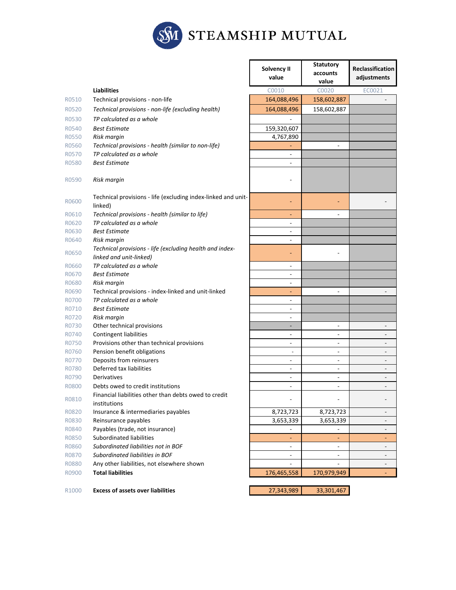

| R0520<br>R0540<br>R0560<br>R0570<br>R0580<br>R0600<br>R0610<br>R0620<br>R0630 | <b>Liabilities</b><br>Technical provisions - non-life<br>Technical provisions - non-life (excluding health)<br>TP calculated as a whole<br><b>Best Estimate</b><br>Risk margin<br>Technical provisions - health (similar to non-life)<br>TP calculated as a whole<br><b>Best Estimate</b><br>Risk margin<br>Technical provisions - life (excluding index-linked and unit-<br>linked) | C0010<br>164,088,496<br>164,088,496<br>159,320,607<br>4,767,890<br>÷.<br>ä, | C0020<br>158,602,887<br>158,602,887 | EC0021                   |
|-------------------------------------------------------------------------------|--------------------------------------------------------------------------------------------------------------------------------------------------------------------------------------------------------------------------------------------------------------------------------------------------------------------------------------------------------------------------------------|-----------------------------------------------------------------------------|-------------------------------------|--------------------------|
| R0510<br>R0530<br>R0550<br>R0590                                              |                                                                                                                                                                                                                                                                                                                                                                                      |                                                                             |                                     |                          |
|                                                                               |                                                                                                                                                                                                                                                                                                                                                                                      |                                                                             |                                     |                          |
|                                                                               |                                                                                                                                                                                                                                                                                                                                                                                      |                                                                             |                                     |                          |
|                                                                               |                                                                                                                                                                                                                                                                                                                                                                                      |                                                                             |                                     |                          |
|                                                                               |                                                                                                                                                                                                                                                                                                                                                                                      |                                                                             |                                     |                          |
|                                                                               |                                                                                                                                                                                                                                                                                                                                                                                      |                                                                             |                                     |                          |
|                                                                               |                                                                                                                                                                                                                                                                                                                                                                                      |                                                                             |                                     |                          |
|                                                                               |                                                                                                                                                                                                                                                                                                                                                                                      |                                                                             |                                     |                          |
|                                                                               |                                                                                                                                                                                                                                                                                                                                                                                      |                                                                             |                                     |                          |
|                                                                               |                                                                                                                                                                                                                                                                                                                                                                                      |                                                                             |                                     |                          |
|                                                                               |                                                                                                                                                                                                                                                                                                                                                                                      |                                                                             |                                     |                          |
|                                                                               | Technical provisions - health (similar to life)                                                                                                                                                                                                                                                                                                                                      |                                                                             | ٠                                   |                          |
|                                                                               | TP calculated as a whole                                                                                                                                                                                                                                                                                                                                                             |                                                                             |                                     |                          |
|                                                                               | <b>Best Estimate</b>                                                                                                                                                                                                                                                                                                                                                                 | $\overline{a}$                                                              |                                     |                          |
| R0640                                                                         | Risk margin                                                                                                                                                                                                                                                                                                                                                                          | $\overline{\phantom{a}}$                                                    |                                     |                          |
| R0650                                                                         | Technical provisions - life (excluding health and index-<br>linked and unit-linked)                                                                                                                                                                                                                                                                                                  |                                                                             |                                     |                          |
| R0660                                                                         | TP calculated as a whole                                                                                                                                                                                                                                                                                                                                                             | $\blacksquare$                                                              |                                     |                          |
| R0670                                                                         | <b>Best Estimate</b>                                                                                                                                                                                                                                                                                                                                                                 | ÷,                                                                          |                                     |                          |
| R0680                                                                         | Risk margin                                                                                                                                                                                                                                                                                                                                                                          | $\overline{\phantom{a}}$                                                    |                                     |                          |
| R0690                                                                         | Technical provisions - index-linked and unit-linked                                                                                                                                                                                                                                                                                                                                  | ٠                                                                           | ٠                                   |                          |
| R0700                                                                         | TP calculated as a whole                                                                                                                                                                                                                                                                                                                                                             | $\overline{\phantom{a}}$                                                    |                                     |                          |
| R0710                                                                         | <b>Best Estimate</b>                                                                                                                                                                                                                                                                                                                                                                 | $\overline{\phantom{a}}$                                                    |                                     |                          |
| R0720                                                                         | Risk margin                                                                                                                                                                                                                                                                                                                                                                          | $\overline{\phantom{a}}$                                                    |                                     |                          |
| R0730                                                                         | Other technical provisions                                                                                                                                                                                                                                                                                                                                                           |                                                                             |                                     |                          |
| R0740                                                                         | <b>Contingent liabilities</b>                                                                                                                                                                                                                                                                                                                                                        |                                                                             |                                     |                          |
| R0750                                                                         | Provisions other than technical provisions                                                                                                                                                                                                                                                                                                                                           | $\overline{a}$                                                              | ٠                                   | $\overline{a}$           |
| R0760                                                                         | Pension benefit obligations                                                                                                                                                                                                                                                                                                                                                          | $\overline{\phantom{a}}$                                                    | L,                                  |                          |
| R0770                                                                         | Deposits from reinsurers                                                                                                                                                                                                                                                                                                                                                             |                                                                             | $\overline{a}$                      |                          |
| R0780                                                                         | Deferred tax liabilities                                                                                                                                                                                                                                                                                                                                                             | $\overline{a}$                                                              |                                     |                          |
| R0790                                                                         | Derivatives                                                                                                                                                                                                                                                                                                                                                                          |                                                                             | L,                                  |                          |
| R0800                                                                         | Debts owed to credit institutions                                                                                                                                                                                                                                                                                                                                                    | $\overline{\phantom{a}}$                                                    | L,                                  |                          |
| R0810                                                                         | Financial liabilities other than debts owed to credit<br>institutions                                                                                                                                                                                                                                                                                                                | $\overline{\phantom{a}}$                                                    | ۰                                   |                          |
| R0820                                                                         | Insurance & intermediaries payables                                                                                                                                                                                                                                                                                                                                                  | 8,723,723                                                                   | 8,723,723                           | $\blacksquare$           |
| R0830                                                                         | Reinsurance payables                                                                                                                                                                                                                                                                                                                                                                 | 3,653,339                                                                   | 3,653,339                           | $\overline{\phantom{a}}$ |
| R0840                                                                         | Payables (trade, not insurance)                                                                                                                                                                                                                                                                                                                                                      | $\overline{\phantom{a}}$                                                    |                                     |                          |
| R0850                                                                         | Subordinated liabilities                                                                                                                                                                                                                                                                                                                                                             |                                                                             |                                     |                          |
| R0860                                                                         | Subordinated liabilities not in BOF                                                                                                                                                                                                                                                                                                                                                  | $\qquad \qquad \blacksquare$                                                | $\overline{a}$                      |                          |
| R0870                                                                         | Subordinated liabilities in BOF                                                                                                                                                                                                                                                                                                                                                      | $\blacksquare$                                                              | ٠                                   | $\overline{\phantom{0}}$ |
| R0880                                                                         | Any other liabilities, not elsewhere shown                                                                                                                                                                                                                                                                                                                                           |                                                                             |                                     | $\overline{\phantom{0}}$ |
| R0900                                                                         | <b>Total liabilities</b>                                                                                                                                                                                                                                                                                                                                                             | 176,465,558                                                                 | 170,979,949                         |                          |

R1000 **Excess of assets over liabilities** 27,343,989 33,301,467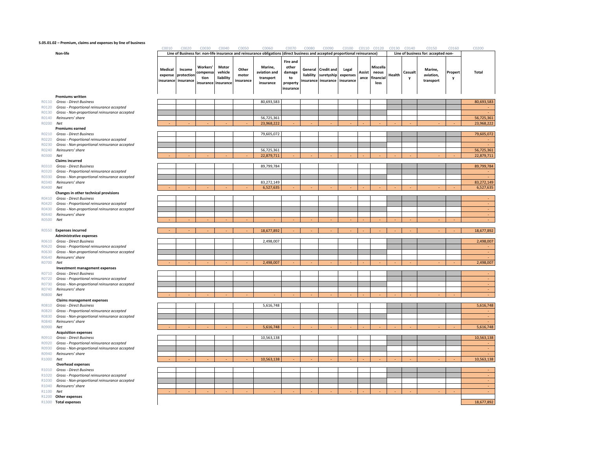#### **S.05.01.02 – Premium, claims and expenses by line of business**

|           |                                                                            | C0010              | C0020                                       | C0030                                     | C0040                                      | C0050                       | C0060                                                                                                                        | C0070                                                             | C0080                | C0090                                                  | C0100 C0110 C0120              |                |                                        |        | C0130 C0140  | C0150                               | C0160        | C0200        |
|-----------|----------------------------------------------------------------------------|--------------------|---------------------------------------------|-------------------------------------------|--------------------------------------------|-----------------------------|------------------------------------------------------------------------------------------------------------------------------|-------------------------------------------------------------------|----------------------|--------------------------------------------------------|--------------------------------|----------------|----------------------------------------|--------|--------------|-------------------------------------|--------------|--------------|
|           | Non-life                                                                   |                    |                                             |                                           |                                            |                             | Line of Business for: non-life insurance and reinsurance obligations (direct business and accepted proportional reinsurance) |                                                                   |                      |                                                        |                                |                |                                        |        |              | Line of business for: accepted non- |              |              |
|           |                                                                            | Medical<br>expense | Income<br>protection<br>insurance insurance | Workers'<br>compensa<br>tion<br>insurance | Motor<br>vehicle<br>liability<br>insurance | Other<br>motor<br>insurance | Marine,<br>aviation and<br>transport<br>insurance                                                                            | <b>Fire and</b><br>other<br>damage<br>to<br>property<br>insurance | General<br>liability | <b>Credit and</b><br>suretyship<br>insurance insurance | Legal<br>expenses<br>insurance | Assist<br>ance | Miscella<br>neous<br>financial<br>loss | Health | Casualt<br>y | Marine,<br>aviation,<br>transport   | Propert<br>y | <b>Total</b> |
|           | <b>Premiums written</b><br>R0110 Gross - Direct Business                   |                    |                                             |                                           |                                            |                             | 80,693,583                                                                                                                   |                                                                   |                      |                                                        |                                |                |                                        |        |              |                                     |              | 80,693,583   |
| R0120     | Gross - Proportional reinsurance accepted                                  |                    |                                             |                                           |                                            |                             |                                                                                                                              |                                                                   |                      |                                                        |                                |                |                                        |        |              |                                     |              |              |
|           | R0130 Gross - Non-proportional reinsurance accepted                        |                    |                                             |                                           |                                            |                             |                                                                                                                              |                                                                   |                      |                                                        |                                |                |                                        |        |              |                                     |              |              |
|           | R0140 Reinsurers' share                                                    |                    |                                             |                                           |                                            |                             | 56,725,361                                                                                                                   |                                                                   |                      |                                                        |                                |                |                                        |        |              |                                     |              | 56,725,361   |
| R0200 Net |                                                                            |                    |                                             |                                           |                                            |                             | 23,968,222                                                                                                                   |                                                                   |                      |                                                        |                                |                |                                        |        |              |                                     |              | 23,968,222   |
|           | <b>Premiums earned</b>                                                     |                    |                                             |                                           |                                            |                             |                                                                                                                              |                                                                   |                      |                                                        |                                |                |                                        |        |              |                                     |              |              |
|           | R0210 Gross - Direct Business                                              |                    |                                             |                                           |                                            |                             | 79,605,072                                                                                                                   |                                                                   |                      |                                                        |                                |                |                                        |        |              |                                     |              | 79,605,072   |
|           | R0220 Gross - Proportional reinsurance accepted                            |                    |                                             |                                           |                                            |                             |                                                                                                                              |                                                                   |                      |                                                        |                                |                |                                        |        |              |                                     |              |              |
|           | R0230 Gross - Non-proportional reinsurance accepted                        |                    |                                             |                                           |                                            |                             |                                                                                                                              |                                                                   |                      |                                                        |                                |                |                                        |        |              |                                     |              |              |
|           | R0240 Reinsurers' share                                                    |                    |                                             |                                           |                                            |                             | 56,725,361                                                                                                                   |                                                                   |                      |                                                        |                                |                |                                        |        |              |                                     |              | 56,725,361   |
| R0300 Net |                                                                            |                    |                                             |                                           |                                            |                             | 22,879,711                                                                                                                   |                                                                   |                      |                                                        |                                |                |                                        |        |              |                                     |              | 22,879,711   |
|           | <b>Claims incurred</b>                                                     |                    |                                             |                                           |                                            |                             |                                                                                                                              |                                                                   |                      |                                                        |                                |                |                                        |        |              |                                     |              |              |
|           | R0310 Gross - Direct Business                                              |                    |                                             |                                           |                                            |                             | 89,799,784                                                                                                                   |                                                                   |                      |                                                        |                                |                |                                        |        |              |                                     |              | 89,799,784   |
|           | R0320 Gross - Proportional reinsurance accepted                            |                    |                                             |                                           |                                            |                             |                                                                                                                              |                                                                   |                      |                                                        |                                |                |                                        |        |              |                                     |              |              |
| R0330     | Gross - Non-proportional reinsurance accepted                              |                    |                                             |                                           |                                            |                             |                                                                                                                              |                                                                   |                      |                                                        |                                |                |                                        |        |              |                                     |              |              |
|           | R0340 Reinsurers' share                                                    |                    |                                             |                                           |                                            |                             | 83,272,149                                                                                                                   |                                                                   |                      |                                                        |                                |                |                                        |        |              |                                     |              | 83,272,149   |
| R0400     | Net                                                                        |                    |                                             |                                           |                                            |                             | 6,527,635                                                                                                                    |                                                                   |                      |                                                        |                                |                |                                        |        |              |                                     |              | 6,527,635    |
|           | Changes in other technical provisions                                      |                    |                                             |                                           |                                            |                             |                                                                                                                              |                                                                   |                      |                                                        |                                |                |                                        |        |              |                                     |              |              |
| R0420     | R0410 Gross - Direct Business<br>Gross - Proportional reinsurance accepted |                    |                                             |                                           |                                            |                             |                                                                                                                              |                                                                   |                      |                                                        |                                |                |                                        |        |              |                                     |              |              |
| R0430     | Gross - Non-proportional reinsurance accepted                              |                    |                                             |                                           |                                            |                             |                                                                                                                              |                                                                   |                      |                                                        |                                |                |                                        |        |              |                                     |              |              |
|           | R0440 Reinsurers' share                                                    |                    |                                             |                                           |                                            |                             |                                                                                                                              |                                                                   |                      |                                                        |                                |                |                                        |        |              |                                     |              | $\sim$       |
| R0500 Net |                                                                            |                    |                                             |                                           |                                            |                             |                                                                                                                              |                                                                   |                      |                                                        |                                |                |                                        |        |              |                                     |              | ÷.           |
|           |                                                                            |                    |                                             |                                           |                                            |                             |                                                                                                                              |                                                                   |                      |                                                        |                                |                |                                        |        |              |                                     |              |              |
|           | R0550 Expenses incurred                                                    |                    |                                             |                                           |                                            |                             | 18,677,892                                                                                                                   |                                                                   |                      |                                                        |                                |                |                                        |        |              |                                     |              | 18,677,892   |
|           | <b>Administrative expenses</b>                                             |                    |                                             |                                           |                                            |                             |                                                                                                                              |                                                                   |                      |                                                        |                                |                |                                        |        |              |                                     |              |              |
|           | R0610 Gross - Direct Business                                              |                    |                                             |                                           |                                            |                             | 2,498,007                                                                                                                    |                                                                   |                      |                                                        |                                |                |                                        |        |              |                                     |              | 2,498,007    |
| R0620     | Gross - Proportional reinsurance accepted                                  |                    |                                             |                                           |                                            |                             |                                                                                                                              |                                                                   |                      |                                                        |                                |                |                                        |        |              |                                     |              |              |
|           | R0630 Gross - Non-proportional reinsurance accepted                        |                    |                                             |                                           |                                            |                             |                                                                                                                              |                                                                   |                      |                                                        |                                |                |                                        |        |              |                                     |              |              |
|           | R0640 Reinsurers' share                                                    |                    |                                             |                                           |                                            |                             |                                                                                                                              |                                                                   |                      |                                                        |                                |                |                                        |        |              |                                     |              |              |
| R0700 Net |                                                                            |                    |                                             |                                           |                                            |                             | 2,498,007                                                                                                                    |                                                                   |                      |                                                        |                                |                |                                        |        |              |                                     |              | 2,498,007    |
|           | Investment management expenses<br>R0710 Gross - Direct Business            |                    |                                             |                                           |                                            |                             |                                                                                                                              |                                                                   |                      |                                                        |                                |                |                                        |        |              |                                     |              |              |
| R0720     | Gross - Proportional reinsurance accepted                                  |                    |                                             |                                           |                                            |                             |                                                                                                                              |                                                                   |                      |                                                        |                                |                |                                        |        |              |                                     |              |              |
| R0730     | Gross - Non-proportional reinsurance accepted                              |                    |                                             |                                           |                                            |                             |                                                                                                                              |                                                                   |                      |                                                        |                                |                |                                        |        |              |                                     |              |              |
| R0740     | Reinsurers' share                                                          |                    |                                             |                                           |                                            |                             |                                                                                                                              |                                                                   |                      |                                                        |                                |                |                                        |        |              |                                     |              |              |
| R0800 Net |                                                                            |                    |                                             |                                           |                                            |                             |                                                                                                                              |                                                                   |                      |                                                        |                                |                |                                        |        |              |                                     |              | $\sim$       |
|           | <b>Claims management expenses</b>                                          |                    |                                             |                                           |                                            |                             |                                                                                                                              |                                                                   |                      |                                                        |                                |                |                                        |        |              |                                     |              |              |
|           | R0810 Gross - Direct Business                                              |                    |                                             |                                           |                                            |                             | 5,616,748                                                                                                                    |                                                                   |                      |                                                        |                                |                |                                        |        |              |                                     |              | 5,616,748    |
| R0820     | Gross - Proportional reinsurance accepted                                  |                    |                                             |                                           |                                            |                             |                                                                                                                              |                                                                   |                      |                                                        |                                |                |                                        |        |              |                                     |              |              |
| R0830     | Gross - Non-proportional reinsurance accepted                              |                    |                                             |                                           |                                            |                             |                                                                                                                              |                                                                   |                      |                                                        |                                |                |                                        |        |              |                                     |              |              |
| R0840     | Reinsurers' share                                                          |                    |                                             |                                           |                                            |                             |                                                                                                                              |                                                                   |                      |                                                        |                                |                |                                        |        |              |                                     |              |              |
| R0900 Net |                                                                            |                    |                                             |                                           |                                            |                             | 5,616,748                                                                                                                    |                                                                   |                      |                                                        |                                |                |                                        |        |              |                                     |              | 5,616,748    |
|           | <b>Acquisition expenses</b>                                                |                    |                                             |                                           |                                            |                             |                                                                                                                              |                                                                   |                      |                                                        |                                |                |                                        |        |              |                                     |              |              |
|           | R0910 Gross - Direct Business                                              |                    |                                             |                                           |                                            |                             | 10,563,138                                                                                                                   |                                                                   |                      |                                                        |                                |                |                                        |        |              |                                     |              | 10,563,138   |
|           | R0920 Gross - Proportional reinsurance accepted                            |                    |                                             |                                           |                                            |                             |                                                                                                                              |                                                                   |                      |                                                        |                                |                |                                        |        |              |                                     |              |              |
| R0930     | Gross - Non-proportional reinsurance accepted<br>R0940 Reinsurers' share   |                    |                                             |                                           |                                            |                             |                                                                                                                              |                                                                   |                      |                                                        |                                |                |                                        |        |              |                                     |              | <b>A</b>     |
| R1000 Net |                                                                            |                    |                                             |                                           |                                            |                             | 10,563,138                                                                                                                   |                                                                   |                      |                                                        |                                |                |                                        |        |              |                                     |              | 10,563,138   |
|           | <b>Overhead expenses</b>                                                   |                    |                                             |                                           |                                            |                             |                                                                                                                              |                                                                   |                      |                                                        |                                |                |                                        |        |              |                                     |              |              |
|           | R1010 Gross - Direct Business                                              |                    |                                             |                                           |                                            |                             |                                                                                                                              |                                                                   |                      |                                                        |                                |                |                                        |        |              |                                     |              |              |
|           | R1020 Gross - Proportional reinsurance accepted                            |                    |                                             |                                           |                                            |                             |                                                                                                                              |                                                                   |                      |                                                        |                                |                |                                        |        |              |                                     |              | $\sim$       |
|           | R1030 Gross - Non-proportional reinsurance accepted                        |                    |                                             |                                           |                                            |                             |                                                                                                                              |                                                                   |                      |                                                        |                                |                |                                        |        |              |                                     |              | ÷.           |
|           | R1040 Reinsurers' share                                                    |                    |                                             |                                           |                                            |                             |                                                                                                                              |                                                                   |                      |                                                        |                                |                |                                        |        |              |                                     |              |              |
| R1100 Net |                                                                            |                    |                                             |                                           |                                            |                             |                                                                                                                              |                                                                   |                      |                                                        |                                |                |                                        |        |              |                                     |              |              |
|           | R1200 Other expenses                                                       |                    |                                             |                                           |                                            |                             |                                                                                                                              |                                                                   |                      |                                                        |                                |                |                                        |        |              |                                     |              |              |

- 
- 
- 
- R0140 Reinsurers' share
- R0200 **Net**

#### **Premiums earned**R0210 **Gross - Direct Bu**

- 
- 
- R0240 Reinsurers' share
- R0300 **Net**

#### **Claims incurred**

#### R0310 **Gross - Direct I**

- 
- 
- R0340 Reinsurers' share
- R0400 **Net**

#### **Changes in other technical provisions**

- 
- 
- 
- R0440 Reinsurers' share
- R0500 **Net**

#### R0550 Expenses incurred

#### **Administrative expenses**

- 
- 
- R0640 Reinsurers' share
- R0700 **Net**
- **Investment management expenses**
- 
- 
- 
- R0740 Reinsurers' share R0800 **Net**

### **Claims management expenses**

- R0810 Gross Direct Business
- 
- 
- R0840 Reinsurers' share
- R0900 **Net**
- **Acquisition expenses** R0910 Gross - Direct Business
- 
- 
- R0940 Reinsurers' share
- R1000 **Net** 
	- **Overhead expenses**

#### R1010 Gross - Direct Business

- 
- 
- R1040 Reinsurers' share
- R1100 **Net**
- R1200 **Other expenses**
- R1300 Total expenses **Total expenses** 18,677,892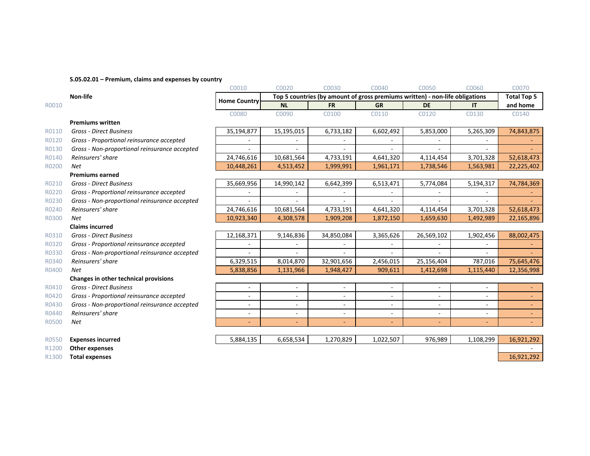#### **S.05.02.01 – Premium, claims and expenses by country**

|       |                                               | C0010                    | C0020          | C0030      | C0040                                                                        | C0050                    | C0060     | C0070               |
|-------|-----------------------------------------------|--------------------------|----------------|------------|------------------------------------------------------------------------------|--------------------------|-----------|---------------------|
|       | <b>Non-life</b>                               | <b>Home Country</b>      |                |            | Top 5 countries (by amount of gross premiums written) - non-life obligations |                          |           | <b>Total Top 5</b>  |
| R0010 |                                               |                          | <b>NL</b>      | <b>FR</b>  | <b>GR</b>                                                                    | <b>DE</b>                | <b>IT</b> | and home            |
|       |                                               | C0080                    | C0090          | C0100      | C0110                                                                        | C0120                    | C0130     | C0140               |
|       | <b>Premiums written</b>                       |                          |                |            |                                                                              |                          |           |                     |
| R0110 | <b>Gross - Direct Business</b>                | 35,194,877               | 15,195,015     | 6,733,182  | 6,602,492                                                                    | 5,853,000                | 5,265,309 | 74,843,875          |
| R0120 | Gross - Proportional reinsurance accepted     | $\blacksquare$           |                |            |                                                                              |                          | $\sim$    |                     |
| R0130 | Gross - Non-proportional reinsurance accepted |                          |                |            |                                                                              |                          |           |                     |
| R0140 | Reinsurers' share                             | 24,746,616               | 10,681,564     | 4,733,191  | 4,641,320                                                                    | 4,114,454                | 3,701,328 | 52,618,473          |
| R0200 | Net                                           | 10,448,261               | 4,513,452      | 1,999,991  | 1,961,171                                                                    | 1,738,546                | 1,563,981 | 22,225,402          |
|       | <b>Premiums earned</b>                        |                          |                |            |                                                                              |                          |           |                     |
| R0210 | <b>Gross - Direct Business</b>                | 35,669,956               | 14,990,142     | 6,642,399  | 6,513,471                                                                    | 5,774,084                | 5,194,317 | 74,784,369          |
| R0220 | Gross - Proportional reinsurance accepted     |                          |                |            |                                                                              |                          |           |                     |
| R0230 | Gross - Non-proportional reinsurance accepted |                          |                |            |                                                                              |                          |           |                     |
| R0240 | Reinsurers' share                             | 24,746,616               | 10,681,564     | 4,733,191  | 4,641,320                                                                    | 4,114,454                | 3,701,328 | 52,618,473          |
| R0300 | Net                                           | 10,923,340               | 4,308,578      | 1,909,208  | 1,872,150                                                                    | 1,659,630                | 1,492,989 | 22,165,896          |
|       | <b>Claims incurred</b>                        |                          |                |            |                                                                              |                          |           |                     |
| R0310 | <b>Gross - Direct Business</b>                | 12,168,371               | 9,146,836      | 34,850,084 | 3,365,626                                                                    | 26,569,102               | 1,902,456 | 88,002,475          |
| R0320 | Gross - Proportional reinsurance accepted     | ٠                        |                |            |                                                                              |                          |           |                     |
| R0330 | Gross - Non-proportional reinsurance accepted |                          |                |            |                                                                              |                          | ÷.        |                     |
| R0340 | Reinsurers' share                             | 6,329,515                | 8,014,870      | 32,901,656 | 2,456,015                                                                    | 25,156,404               | 787,016   | 75,645,476          |
| R0400 | Net                                           | 5,838,856                | 1,131,966      | 1,948,427  | 909,611                                                                      | 1,412,698                | 1,115,440 | 12,356,998          |
|       | Changes in other technical provisions         |                          |                |            |                                                                              |                          |           |                     |
| R0410 | <b>Gross - Direct Business</b>                | $\overline{\phantom{a}}$ | $\sim$         |            | $\sim$                                                                       | $\overline{\phantom{a}}$ | $\sim$    |                     |
| R0420 | Gross - Proportional reinsurance accepted     | $\blacksquare$           | ä,             | $\sim$     | $\overline{a}$                                                               | $\sim$                   | $\sim$    | $\omega_{\rm{max}}$ |
| R0430 | Gross - Non-proportional reinsurance accepted |                          | ٠              |            |                                                                              | $\blacksquare$           | ٠         |                     |
| R0440 | Reinsurers' share                             | $\overline{\phantom{a}}$ | $\sim$         | $\sim$     | $\sim$                                                                       | $\sim$                   | $\sim$    | $\sim$              |
| R0500 | Net                                           | $\overline{\phantom{0}}$ | $\blacksquare$ |            | ÷                                                                            |                          | $\sim$    |                     |
|       |                                               |                          |                |            |                                                                              |                          |           |                     |
| R0550 | <b>Expenses incurred</b>                      | 5,884,135                | 6,658,534      | 1,270,829  | 1,022,507                                                                    | 976,989                  | 1,108,299 | 16,921,292          |
| R1200 | Other expenses                                |                          |                |            |                                                                              |                          |           |                     |

R1300 **Total expenses** 16,921,292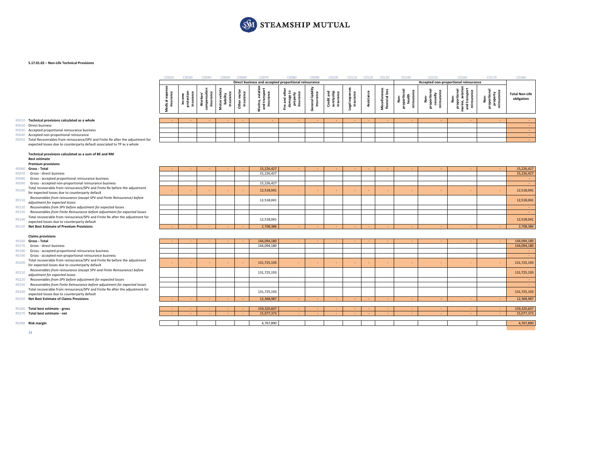

#### **S.17.01.02 – Non‐Life Technical Provisions**

|                                                                                | C0020     | C0030 | nnan | rnnsn | conzo                                                 |   |             | CO110 |  | 01140 | C0150                                 | C0160 | C0170      | C0180                               |  |
|--------------------------------------------------------------------------------|-----------|-------|------|-------|-------------------------------------------------------|---|-------------|-------|--|-------|---------------------------------------|-------|------------|-------------------------------------|--|
|                                                                                |           |       |      |       | Direct business and accepted proportional reinsurance |   |             |       |  |       | Accepted non-proportional reinsurance |       |            |                                     |  |
|                                                                                | ت ہ<br>-2 | -     |      |       | - 5<br>$\mathbf{r}$                                   | ௨ | 곧 을 많<br>≞. |       |  |       |                                       | മര    | 7 هـ.<br>௨ | <b>Total Non-Life</b><br>obligation |  |
| Technical provisions calculated as a whole                                     |           |       |      |       |                                                       |   |             |       |  |       |                                       |       |            |                                     |  |
| Direct business<br>R0020                                                       |           |       |      |       |                                                       |   |             |       |  |       |                                       |       |            |                                     |  |
| Accepted proportional reinsurance business                                     |           |       |      |       |                                                       |   |             |       |  |       |                                       |       |            |                                     |  |
| R0040 Accepted non-proportional reinsurance                                    |           |       |      |       |                                                       |   |             |       |  |       |                                       |       |            |                                     |  |
| Total Recoverables from reinsurance/SPV and Finite Re after the adjustment for |           |       |      |       |                                                       |   |             |       |  |       |                                       |       |            |                                     |  |

R0020 Direct business

- 
- 
- expected losses due to counterparty default associated to TP as <sup>a</sup> whole

#### **Technical provisions calculated as <sup>a</sup> sum of BE and RM Best estimate**

#### **Premium provisions**

- R0060 Gross Total R0070 Gross - direct business
- 
- 
- 
- R0100 Total recoverable from reinsurance/SPV and Finite Re before the adjustment<br> $R0100$  for expected losses due to counterparty default for expected losses due to counterparty default<br>Recoverables from reinsurance (except SPV and Finite Reinsurance) before
- R0110 networking ...
- 
- 
- 
- R0150 **Net Best Estimate of Premium**

#### **Claims provisions**

#### R0160 Gross - Total

- R0170 Gross direct business
- 
- 
- 
- 
- 
- 
- 
- 

R0280 Risk margin

|       | Premium provisions                                                            |  |  |            |  |  |  |  |  |            |
|-------|-------------------------------------------------------------------------------|--|--|------------|--|--|--|--|--|------------|
| R0060 | Gross - Total                                                                 |  |  | 15,226,427 |  |  |  |  |  | 15,226,427 |
|       | Gross - direct business                                                       |  |  | 15.226.427 |  |  |  |  |  | 15,226,427 |
|       | Gross - accepted proportional reinsurance business                            |  |  |            |  |  |  |  |  |            |
|       | Gross - accepted non-proportional reinsurance business                        |  |  | 15,226,427 |  |  |  |  |  |            |
| R0100 | Total recoverable from reinsurance/SPV and Finite Re before the adjustment    |  |  | 12,518,041 |  |  |  |  |  | 12,518,041 |
|       | for expected losses due to counterparty default                               |  |  |            |  |  |  |  |  |            |
| R0110 | Recoverables from reinsurance (except SPV and Finite Reinsurance) before      |  |  | 12,518,041 |  |  |  |  |  | 12,518,041 |
|       | adjustment for expected losses                                                |  |  |            |  |  |  |  |  |            |
| R0120 | Recoverables from SPV before adjustment for expected losses                   |  |  |            |  |  |  |  |  |            |
|       | Recoverables from Finite Reinsurance before adjustment for expected losses    |  |  |            |  |  |  |  |  |            |
| R0140 | Total recoverable from reinsurance/SPV and Finite Re after the adjustment for |  |  | 12,518,041 |  |  |  |  |  | 12,518,041 |
|       | expected losses due to counterparty default                                   |  |  |            |  |  |  |  |  |            |
|       | <b>Net Best Estimate of Premium Provisions</b>                                |  |  | 2,708,386  |  |  |  |  |  | 2,708,386  |

|       | R0160 Gross - Total                                                           | $\sim$ |  | $\sim$ | 144,094,180 |  | $\sim$ |  |  | $\sim$ | 144,094,180 |
|-------|-------------------------------------------------------------------------------|--------|--|--------|-------------|--|--------|--|--|--------|-------------|
| R0170 | Gross - direct business                                                       |        |  |        | 144,094,180 |  |        |  |  |        | 144,094,180 |
| R0180 | Gross - accepted proportional reinsurance business                            |        |  |        |             |  |        |  |  |        |             |
| R0190 | Gross - accepted non-proportional reinsurance business                        |        |  |        |             |  |        |  |  |        |             |
| R0200 | Total recoverable from reinsurance/SPV and Finite Re before the adjustment    |        |  |        | 131,725,193 |  |        |  |  |        | 131,725,193 |
|       | for expected losses due to counterparty default                               |        |  |        |             |  |        |  |  |        |             |
| R0210 | Recoverables from reinsurance (except SPV and Finite Reinsurance) before      |        |  |        | 131,725,193 |  |        |  |  |        | 131,725,193 |
|       | adjustment for expected losses                                                |        |  |        |             |  |        |  |  |        |             |
| R0220 | Recoverables from SPV before adjustment for expected losses                   |        |  |        |             |  |        |  |  |        |             |
| R0230 | Recoverables from Finite Reinsurance before adjustment for expected losses    |        |  |        |             |  |        |  |  |        |             |
| R0240 | Total recoverable from reinsurance/SPV and Finite Re after the adjustment for |        |  |        | 131,725,193 |  |        |  |  |        | 131,725,193 |
|       | expected losses due to counterparty default                                   |        |  |        |             |  |        |  |  |        |             |
| R0250 | <b>Net Best Estimate of Claims Provisions</b>                                 |        |  |        | 12,368,987  |  |        |  |  |        | 12,368,987  |
|       |                                                                               |        |  |        |             |  |        |  |  |        |             |
|       | Total best estimate - gross                                                   |        |  |        | 159,320,607 |  | $\sim$ |  |  |        | 159,320,607 |
|       | Total best estimate - net                                                     |        |  |        | 15,077,373  |  | $\sim$ |  |  |        | 15,077,373  |
|       |                                                                               |        |  |        |             |  |        |  |  |        |             |
|       | R0280 Risk margin                                                             |        |  |        | 4,767,890   |  |        |  |  |        | 4,767,890   |
|       |                                                                               |        |  |        |             |  |        |  |  |        |             |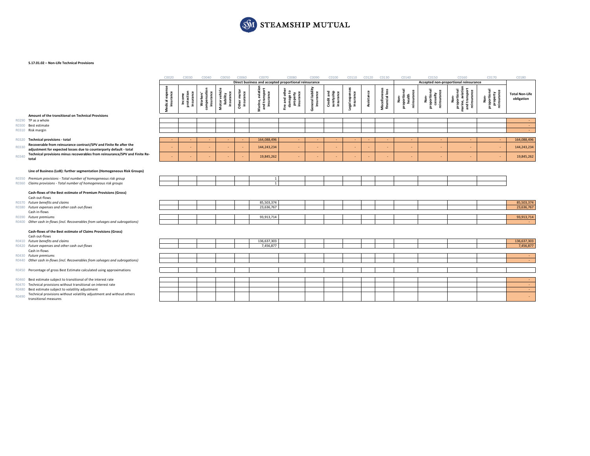

#### **S.17.01.02 – Non‐Life Technical Provisions**

|       |                                                                                      | C0020                        | C0030                             | C0040                                            | C0050                                   | C0060                    | C0070                                                 | C0080                                               | C0090                          | C0100                                 | C0110                      | C0120      | C0130                           | C0140                                         | C0150                                               | C0160                                                                    | C0170                                           | C0180                               |
|-------|--------------------------------------------------------------------------------------|------------------------------|-----------------------------------|--------------------------------------------------|-----------------------------------------|--------------------------|-------------------------------------------------------|-----------------------------------------------------|--------------------------------|---------------------------------------|----------------------------|------------|---------------------------------|-----------------------------------------------|-----------------------------------------------------|--------------------------------------------------------------------------|-------------------------------------------------|-------------------------------------|
|       |                                                                                      |                              |                                   |                                                  |                                         |                          | Direct business and accepted proportional reinsurance |                                                     |                                |                                       |                            |            |                                 |                                               |                                                     | Accepted non-proportional reinsurance                                    |                                                 |                                     |
|       |                                                                                      | insurance<br>expe<br>Medical | Income<br>protection<br>insurance | ompensation<br>insurance<br><b>Workers'</b><br>g | Motor vehicle<br>liability<br>insurance | Other motor<br>insurance | Marine, aviation<br>and transport<br>insurance        | Fire and othe<br>damage to<br>property<br>insurance | General liability<br>insurance | Credit and<br>suretyship<br>insurance | Legal expense<br>insurance | Assistance | Miscellaneous<br>financial loss | Non-<br>proportional<br>health<br>reinsurance | 힡<br>Non-<br>proportiona<br>casualty<br>reinsurance | Non-<br>proportional<br>marine, aviatior<br>and transport<br>reinsurance | Non-<br>proportional<br>property<br>reinsurance | <b>Total Non-Life</b><br>obligation |
|       | Amount of the transitional on Technical Provisions                                   |                              |                                   |                                                  |                                         |                          |                                                       |                                                     |                                |                                       |                            |            |                                 |                                               |                                                     |                                                                          |                                                 |                                     |
|       | R0290 TP as a whole                                                                  |                              |                                   |                                                  |                                         |                          |                                                       |                                                     |                                |                                       |                            |            |                                 |                                               |                                                     |                                                                          |                                                 | $\sim$                              |
|       | R0300 Best estimate                                                                  |                              |                                   |                                                  |                                         |                          |                                                       |                                                     |                                |                                       |                            |            |                                 |                                               |                                                     |                                                                          |                                                 | $\sim$                              |
|       | R0310 Risk margin                                                                    |                              |                                   |                                                  |                                         |                          |                                                       |                                                     |                                |                                       |                            |            |                                 |                                               |                                                     |                                                                          |                                                 | <b>Section</b>                      |
|       | R0320 Technical provisions - total                                                   | $\sim$                       |                                   |                                                  |                                         |                          | 164,088,496                                           | $\sim$                                              |                                |                                       |                            |            |                                 |                                               |                                                     | $\sim$                                                                   | ٠                                               | 164,088,496                         |
|       | Recoverable from reinsurance contract/SPV and Finite Re after the                    |                              |                                   |                                                  |                                         |                          |                                                       |                                                     |                                |                                       |                            |            |                                 |                                               |                                                     |                                                                          |                                                 |                                     |
| R0330 | adjustment for expected losses due to counterparty default - total                   |                              |                                   |                                                  |                                         |                          | 144,243,234                                           | $\sim$                                              |                                |                                       |                            |            | ÷                               |                                               |                                                     |                                                                          | $\overline{\phantom{a}}$                        | 144,243,234                         |
| R0340 | Technical provisions minus recoverables from reinsurance/SPV and Finite Re-<br>total |                              |                                   |                                                  |                                         |                          | 19,845,262                                            |                                                     |                                |                                       |                            |            |                                 |                                               |                                                     |                                                                          |                                                 | 19,845,262                          |
|       |                                                                                      |                              |                                   |                                                  |                                         |                          |                                                       |                                                     |                                |                                       |                            |            |                                 |                                               |                                                     |                                                                          |                                                 |                                     |
|       | Line of Business (LoB): further segmentation (Homogeneous Risk Groups)               |                              |                                   |                                                  |                                         |                          |                                                       |                                                     |                                |                                       |                            |            |                                 |                                               |                                                     |                                                                          |                                                 |                                     |
|       | R0350 Premium provisions - Total number of homogeneous risk group                    |                              |                                   |                                                  |                                         |                          | <sup>1</sup>                                          |                                                     |                                |                                       |                            |            |                                 |                                               |                                                     |                                                                          |                                                 |                                     |
|       | R0360 Claims provisions - Total number of homogeneous risk groups                    |                              |                                   |                                                  |                                         |                          | $\mathbf{1}$                                          |                                                     |                                |                                       |                            |            |                                 |                                               |                                                     |                                                                          |                                                 |                                     |
|       | Cash-flows of the Best estimate of Premium Provisions (Gross)<br>Cash out-flows      |                              |                                   |                                                  |                                         |                          |                                                       |                                                     |                                |                                       |                            |            |                                 |                                               |                                                     |                                                                          |                                                 |                                     |
|       | R0370 Future benefits and claims                                                     |                              |                                   |                                                  |                                         |                          | 85,503,374                                            |                                                     |                                |                                       |                            |            |                                 |                                               |                                                     |                                                                          |                                                 | 85,503,374                          |
|       | R0380 Future expenses and other cash out-flows<br>Cash in-flows                      |                              |                                   |                                                  |                                         |                          | 23,636,767                                            |                                                     |                                |                                       |                            |            |                                 |                                               |                                                     |                                                                          |                                                 | 23,636,767                          |
|       | R0390 Future premiums                                                                |                              |                                   |                                                  |                                         |                          | 93,913,714                                            |                                                     |                                |                                       |                            |            |                                 |                                               |                                                     |                                                                          |                                                 | 93,913,714                          |
|       | R0400 Other cash in-flows (incl. Recoverables from salvages and subrogations)        |                              |                                   |                                                  |                                         |                          |                                                       |                                                     |                                |                                       |                            |            |                                 |                                               |                                                     |                                                                          |                                                 | $\sim$                              |
|       | Cash-flows of the Best estimate of Claims Provisions (Gross)<br>Cash out-flows       |                              |                                   |                                                  |                                         |                          |                                                       |                                                     |                                |                                       |                            |            |                                 |                                               |                                                     |                                                                          |                                                 |                                     |
|       | R0410 Future benefits and claims<br>R0420 Future expenses and other cash out-flows   |                              |                                   |                                                  |                                         |                          | 136,637,303<br>7,456,877                              |                                                     |                                |                                       |                            |            |                                 |                                               |                                                     |                                                                          |                                                 | 136,637,303<br>7,456,877            |
|       | Cash in-flows                                                                        |                              |                                   |                                                  |                                         |                          |                                                       |                                                     |                                |                                       |                            |            |                                 |                                               |                                                     |                                                                          |                                                 |                                     |
|       | R0430 Future premiums                                                                |                              |                                   |                                                  |                                         |                          |                                                       |                                                     |                                |                                       |                            |            |                                 |                                               |                                                     |                                                                          |                                                 | $\sim$                              |
|       | R0440 Other cash in-flows (incl. Recoverables from salvages and subrogations)        |                              |                                   |                                                  |                                         |                          |                                                       |                                                     |                                |                                       |                            |            |                                 |                                               |                                                     |                                                                          |                                                 | $\sim$                              |
|       |                                                                                      |                              |                                   |                                                  |                                         |                          |                                                       |                                                     |                                |                                       |                            |            |                                 |                                               |                                                     |                                                                          |                                                 |                                     |
|       | R0450 Percentage of gross Best Estimate calculated using approximations              |                              |                                   |                                                  |                                         |                          |                                                       |                                                     |                                |                                       |                            |            |                                 |                                               |                                                     |                                                                          |                                                 |                                     |
|       | R0460 Best estimate subject to transitional of the interest rate                     |                              |                                   |                                                  |                                         |                          |                                                       |                                                     |                                |                                       |                            |            |                                 |                                               |                                                     |                                                                          |                                                 | $\sim$                              |
|       | R0470 Technical provisions without transitional on interest rate                     |                              |                                   |                                                  |                                         |                          |                                                       |                                                     |                                |                                       |                            |            |                                 |                                               |                                                     |                                                                          |                                                 | $\sim$                              |
|       | R0480 Best estimate subject to volatility adjustment                                 |                              |                                   |                                                  |                                         |                          |                                                       |                                                     |                                |                                       |                            |            |                                 |                                               |                                                     |                                                                          |                                                 | <b>Card</b>                         |
| R0490 | Technical provisions without volatility adjustment and without others                |                              |                                   |                                                  |                                         |                          |                                                       |                                                     |                                |                                       |                            |            |                                 |                                               |                                                     |                                                                          |                                                 | $\sim$                              |
|       | transitional measures                                                                |                              |                                   |                                                  |                                         |                          |                                                       |                                                     |                                |                                       |                            |            |                                 |                                               |                                                     |                                                                          |                                                 |                                     |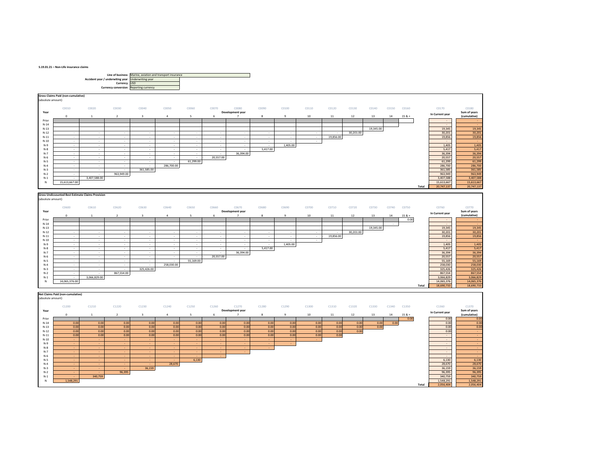#### **S.19.01.21 – Non‐Life insurance claims**

 $_{\rm N-1}$ 





‐ ‐ 96,395 96,395 96,395

 ‐ 340,759 340,759 340,759 N 1,548,291 1,548,291 1,548,291 1,548,291 1,548,291 1,548,291 1,548,291 1,548,291 1,548,291 1,548,291 1,548,291 1,548,291 1,548,291 1,548,291 1,548,291 1,548,291 1,548,291 1,548,291 1,548,291 1,548,291 1,548,291 1,548,291

**Total**

2,056,404 2,056,404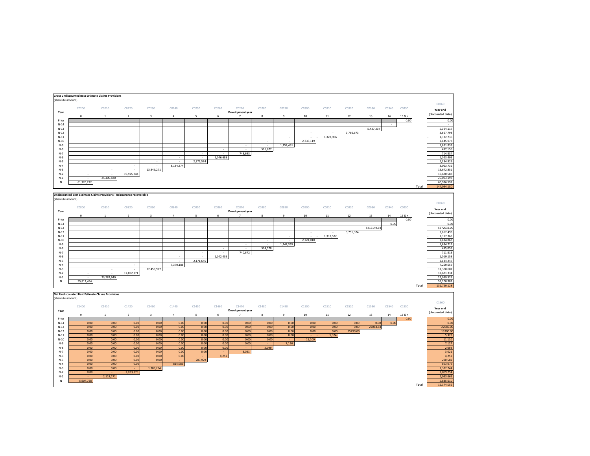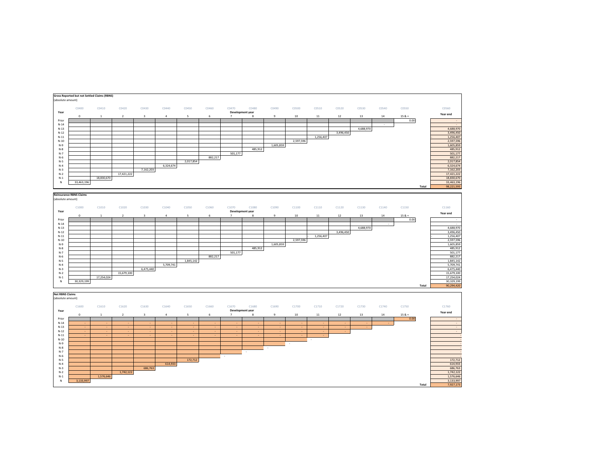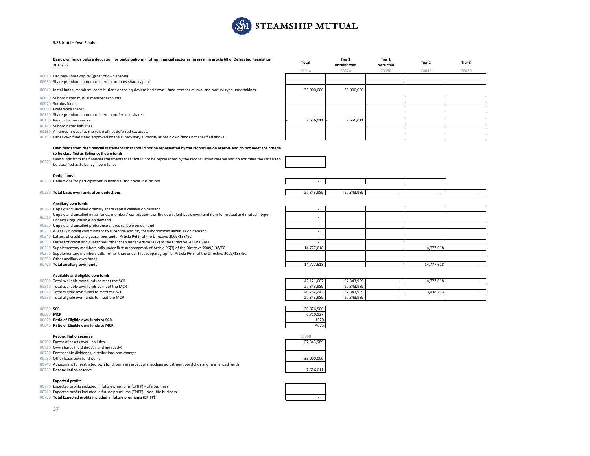

#### **S.23.01.01 – Own Funds**

|       | Basic own funds before deduction for participations in other financial sector as foreseen in article 68 of Delegated Regulation<br>2015/35                                                                                                                                                                                                                       | <b>Total</b> | Tier 1<br>unrestricted | Tier 1<br>restricted | Tier 2 | Tier 3 |
|-------|------------------------------------------------------------------------------------------------------------------------------------------------------------------------------------------------------------------------------------------------------------------------------------------------------------------------------------------------------------------|--------------|------------------------|----------------------|--------|--------|
|       |                                                                                                                                                                                                                                                                                                                                                                  | C0010        | C0020                  | C0030                | C0040  | C0050  |
| R0010 | Ordinary share capital (gross of own shares)                                                                                                                                                                                                                                                                                                                     |              |                        |                      |        |        |
| R0030 | Share premium account related to ordinary share capital                                                                                                                                                                                                                                                                                                          |              |                        |                      |        |        |
|       | R0040 Initial funds, members' contributions or the equivalent basic own - fund item for mutual and mutual-type undertakings                                                                                                                                                                                                                                      | 35,000,000   | 35,000,000             |                      |        |        |
| R0050 | Subordinated mutual member accounts                                                                                                                                                                                                                                                                                                                              |              |                        |                      |        |        |
|       | R0070 Surplus funds                                                                                                                                                                                                                                                                                                                                              |              |                        |                      |        |        |
| R0090 | Preference shares                                                                                                                                                                                                                                                                                                                                                |              |                        |                      |        |        |
|       | R0110 Share premium account related to preference shares                                                                                                                                                                                                                                                                                                         |              |                        |                      |        |        |
| R0130 | <b>Reconciliation reserve</b>                                                                                                                                                                                                                                                                                                                                    | 7,656,011    | 7,656,011              |                      |        |        |
|       | R0140 Subordinated liabilities                                                                                                                                                                                                                                                                                                                                   |              |                        |                      |        |        |
| R0160 | An amount equal to the value of net deferred tax assets                                                                                                                                                                                                                                                                                                          |              |                        |                      |        |        |
|       | R0180 Other own fund items approved by the supervisory authority as basic own funds not specified above                                                                                                                                                                                                                                                          |              |                        |                      |        |        |
| R0220 | Own funds from the financial statements that should not be represented by the reconciliation reserve and do not meet the criteria<br>to be classified as Solvency II own funds<br>Own funds from the financial statements that should not be represented by the reconciliation reserve and do not meet the criteria to<br>be classified as Solvency II own funds |              |                        |                      |        |        |
| R0230 | <b>Deductions</b><br>Deductions for participations in financial and credit institutions                                                                                                                                                                                                                                                                          |              |                        |                      |        |        |

#### R0290 **Total basic ownfunds after deductions** 27,343,989 ‐ 27,343,989 ‐ ‐

#### **Ancillary own funds**

R0300 Unpaid and uncalled ordinary share capital callable on demand 0 Unpaid and uncalled ordinary share capital callable on demand expansion of the state of the state of the state of the state of the state of the state of the state of the state of the state of the state of the state of th

- 0310 Unpaid and uncalled initial funds, members' contributions or the equivalent basic own fund item for mutual and mutual ‐ type<br>undertakings, callable on demand
- 
- R0320 Unpaid and uncalled preference shares callable on demand -
- R0330 A legally binding commitment to subscribe and pay for subordinated liabilities on demand **EXALLA CONTENTS**
- R0340 Letters of credit and guarantees under Article 96(2) of the Directive 2009/138/EC ‐
- R0350 Letters of credit and guarantees other than under Article 96(2) of the Directive 2009/138/EC **Fig. 100 COVIDS**
- R0360 Supplementary members calls under first subparagraph of Article 96(3) of the Directive 2009/138/EC 14,777,618 14,777,618 14,777,618 14,777,618 14,777,618 14,777,618 14,777,618 14,777,618 14,777,618 14,777,618 14,777,
- R0370 Supplementary members calls ‐ other than under first subparagraph of Article 96(3) of the Directive 2009/138/EC ‐
- 

#### **Available and eligible own funds**

- R0500 Total available own funds to meet the SCR
- R0510 Total available own funds to meet the MCR
- 
- 

#### R0580 **SCR**

#### R0600 **MCR**

- R0620 **Ratio of Eligible own funds to SCR** 152%
- R0640 **Ratio of Eligible own funds to MCR** 407%

#### **Reconcilliation**

- R0700 Excess of assets over liabilities 27,343,989
- R0710 Own shares (held directly and indirectly)
- R0720 Foreseeable dividends, distributions and charges
- R0730 Other basic own
- R0740 Adjustment for restricted own fund items in respect of matching adjustment portfolios and ring fenced funds
- R0760 **Reconciliation**

#### **Expected profits**

- R0770 Expected profits included in future premiums (EPIFP) ‐ Life business
- R0780 Expected profits included in future premiums (EPIFP) ‐ Non‐ life business
- R0790 **Total Expected profits included in future premiums (EPIFP)** ‐

|       | Unpaid and uncalled ordinary share capital callable on demand                                                                |            |  |            |  |
|-------|------------------------------------------------------------------------------------------------------------------------------|------------|--|------------|--|
| RO310 | Unpaid and uncalled initial funds, members' contributions or the equivalent basic own fund item for mutual and mutual - type |            |  |            |  |
|       | undertakings, callable on demand                                                                                             |            |  |            |  |
|       | Unpaid and uncalled preference shares callable on demand                                                                     |            |  |            |  |
|       | R0330 A legally binding commitment to subscribe and pay for subordinated liabilities on demand                               |            |  |            |  |
|       | R0340 Letters of credit and guarantees under Article 96(2) of the Directive 2009/138/EC                                      |            |  |            |  |
|       | R0350 Letters of credit and guarantees other than under Article 96(2) of the Directive 2009/138/EC                           |            |  |            |  |
|       | Supplementary members calls under first subparagraph of Article 96(3) of the Directive 2009/138/EC                           | 14,777,618 |  | 14,777,618 |  |
|       | Supplementary members calls - other than under first subparagraph of Article 96(3) of the Directive 2009/138/EC              |            |  |            |  |
|       | Other ancillary own funds                                                                                                    |            |  |            |  |
|       | Total ancillary own funds                                                                                                    | 14.777.618 |  | 14.777.618 |  |
|       |                                                                                                                              |            |  |            |  |

| Total available own funds to meet the SCR             | 42.121.607 | 27.343.989 | 14,777,618 |  |
|-------------------------------------------------------|------------|------------|------------|--|
| Total available own funds to meet the MCR             | 27.343.989 | 27.343.989 |            |  |
| <sup>1</sup> Total eligible own funds to meet the SCR | 40.782.242 | 27.343.989 | 13.438.253 |  |
| Total eligible own funds to meet the MCR              | 27,343,989 | 27,343,989 |            |  |

| R                                | 26.876.506 |
|----------------------------------|------------|
|                                  | 6.719.127  |
| tio of Eligible own funds to SCR | 152%       |
| tio of Eligible own funds to MCR | 407%       |



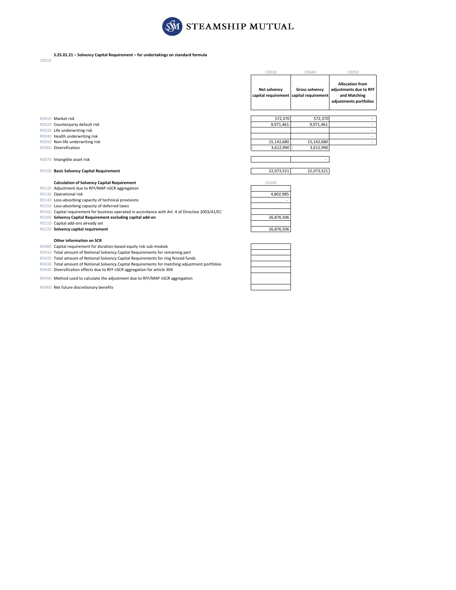

### **S.25.01.21 – Solvency Capital Requirement – for undertakings on standard formula**

Z0010

|                      | <b>Allocation from</b><br>adjustments due to RFF<br><b>Gross solvency</b><br>and Matching<br>adjustments portfolios | Net solvency<br>capital requirement capital requirement<br>572,370 | C0050 |
|----------------------|---------------------------------------------------------------------------------------------------------------------|--------------------------------------------------------------------|-------|
|                      |                                                                                                                     |                                                                    |       |
| 572,370<br>9,971,461 | 9,971,461                                                                                                           |                                                                    |       |

| - |            |                    |
|---|------------|--------------------|
| ۰ |            |                    |
| - | 15,142,680 | 15,142,680         |
|   | 3,612,990  | $3,612,990$ -<br>۰ |
|   |            |                    |

| $\mathbf{r}$ |  |
|--------------|--|

| C0100     |  |
|-----------|--|
|           |  |
| 4,802,985 |  |
|           |  |

| 4,002, <i>3</i> 03 |
|--------------------|
|                    |
|                    |
|                    |
| 26,876,506         |
|                    |
| 26,876,506         |

- R0030 Life underwriting risk R0040 Health underwriting risk
- R0050 Non-life underwriting risk
- R0060 Diversification

R0070 Intangible asset risk

### R0100 **Basic Solvency Capital Requirement** 22,073,521 22,073,521

#### **Calculation of Solvency Capital Requirement**

### R0120 Adjustment due to RFF/MAP nSCR aggregation

R0130 Operational risk

- R0140 Loss-absorbing capacity of technical provisions
- R0150 Loss‐absorbing capacity of deferred taxes
- R0160 Capital requirement for business operated in accordance with Art. 4 of Directive 2003/41/EC
- R0200 **Solvency Capital Requirement excluding capital add‐on** 26,876,506
- R0210 Capital add‐ons already set
- R0220 **Solvency capital requirement** 26,876,506

#### **Other information on SCR**

R0400 Capital requirement for duration‐based equity risk sub‐module

R0410 Total amount of Notional Solvency Capital Requirements for remaining part

R0420 Total amount of Notional Solvency Capital Requirements for ring fenced funds

R0430 Total amount of Notional Solvency Capital Requirements for matching adjustment portfolios R0440 Diversification effects due to RFF nSCR aggregation for article 304

R0450 Method used to calculate the adjustment due to RFF/MAP nSCR aggregation

R0460 Net future discretionary benefits